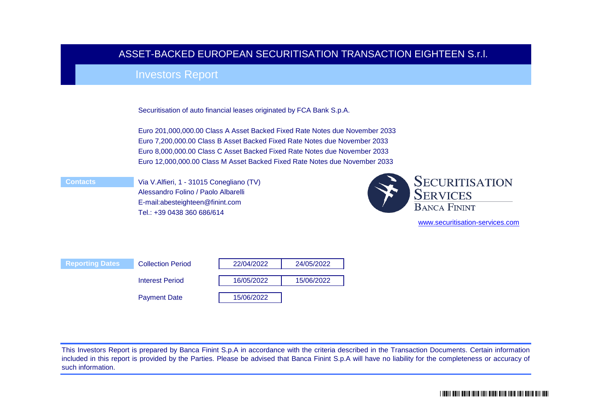# ASSET-BACKED EUROPEAN SECURITISATION TRANSACTION EIGHTEEN S.r.l.

# Investors Report

Securitisation of auto financial leases originated by FCA Bank S.p.A.

Euro 201,000,000.00 Class A Asset Backed Fixed Rate Notes due November 2033 Euro 7,200,000.00 Class B Asset Backed Fixed Rate Notes due November 2033 Euro 8,000,000.00 Class C Asset Backed Fixed Rate Notes due November 2033 Euro 12,000,000.00 Class M Asset Backed Fixed Rate Notes due November 2033

 **Contacts**

Via V.Alfieri, 1 - 31015 Conegliano (TV) Alessandro Folino / Paolo Albarelli E-mail:abesteighteen@finint.com Tel.: +39 0438 360 686/614



[www.securitisatio](http://www.securitisation-services.com/)n-services.com



This Investors Report is prepared by Banca Finint S.p.A in accordance with the criteria described in the Transaction Documents. Certain information included in this report is provided by the Parties. Please be advised that Banca Finint S.p.A will have no liability for the completeness or accuracy of such information.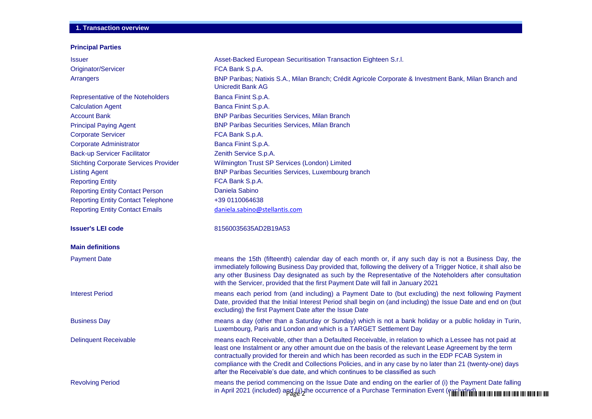# **1. Transaction overview**

### **Principal Parties**

| <b>Issuer</b>                                | Asset-Backed European Securitisation Transaction Eighteen S.r.l.                                                                                                                                                                                                                                                                                                                                                                                                                                                    |
|----------------------------------------------|---------------------------------------------------------------------------------------------------------------------------------------------------------------------------------------------------------------------------------------------------------------------------------------------------------------------------------------------------------------------------------------------------------------------------------------------------------------------------------------------------------------------|
| Originator/Servicer                          | FCA Bank S.p.A.                                                                                                                                                                                                                                                                                                                                                                                                                                                                                                     |
| Arrangers                                    | BNP Paribas; Natixis S.A., Milan Branch; Crédit Agricole Corporate & Investment Bank, Milan Branch and<br><b>Unicredit Bank AG</b>                                                                                                                                                                                                                                                                                                                                                                                  |
| Representative of the Noteholders            | Banca Finint S.p.A.                                                                                                                                                                                                                                                                                                                                                                                                                                                                                                 |
| <b>Calculation Agent</b>                     | Banca Finint S.p.A.                                                                                                                                                                                                                                                                                                                                                                                                                                                                                                 |
| <b>Account Bank</b>                          | <b>BNP Paribas Securities Services, Milan Branch</b>                                                                                                                                                                                                                                                                                                                                                                                                                                                                |
| <b>Principal Paying Agent</b>                | <b>BNP Paribas Securities Services, Milan Branch</b>                                                                                                                                                                                                                                                                                                                                                                                                                                                                |
| <b>Corporate Servicer</b>                    | FCA Bank S.p.A.                                                                                                                                                                                                                                                                                                                                                                                                                                                                                                     |
| <b>Corporate Administrator</b>               | Banca Finint S.p.A.                                                                                                                                                                                                                                                                                                                                                                                                                                                                                                 |
| <b>Back-up Servicer Facilitator</b>          | Zenith Service S.p.A.                                                                                                                                                                                                                                                                                                                                                                                                                                                                                               |
| <b>Stichting Corporate Services Provider</b> | Wilmington Trust SP Services (London) Limited                                                                                                                                                                                                                                                                                                                                                                                                                                                                       |
| <b>Listing Agent</b>                         | <b>BNP Paribas Securities Services, Luxembourg branch</b>                                                                                                                                                                                                                                                                                                                                                                                                                                                           |
| <b>Reporting Entity</b>                      | FCA Bank S.p.A.                                                                                                                                                                                                                                                                                                                                                                                                                                                                                                     |
| <b>Reporting Entity Contact Person</b>       | Daniela Sabino                                                                                                                                                                                                                                                                                                                                                                                                                                                                                                      |
| <b>Reporting Entity Contact Telephone</b>    | +39 0110064638                                                                                                                                                                                                                                                                                                                                                                                                                                                                                                      |
| <b>Reporting Entity Contact Emails</b>       | daniela.sabino@stellantis.com                                                                                                                                                                                                                                                                                                                                                                                                                                                                                       |
| <b>Issuer's LEI code</b>                     | 81560035635AD2B19A53                                                                                                                                                                                                                                                                                                                                                                                                                                                                                                |
| <b>Main definitions</b>                      |                                                                                                                                                                                                                                                                                                                                                                                                                                                                                                                     |
| <b>Payment Date</b>                          | means the 15th (fifteenth) calendar day of each month or, if any such day is not a Business Day, the<br>immediately following Business Day provided that, following the delivery of a Trigger Notice, it shall also be<br>any other Business Day designated as such by the Representative of the Noteholders after consultation<br>with the Servicer, provided that the first Payment Date will fall in January 2021                                                                                                |
| <b>Interest Period</b>                       | means each period from (and including) a Payment Date to (but excluding) the next following Payment<br>Date, provided that the Initial Interest Period shall begin on (and including) the Issue Date and end on (but<br>excluding) the first Payment Date after the Issue Date                                                                                                                                                                                                                                      |
| <b>Business Day</b>                          | means a day (other than a Saturday or Sunday) which is not a bank holiday or a public holiday in Turin,<br>Luxembourg, Paris and London and which is a TARGET Settlement Day                                                                                                                                                                                                                                                                                                                                        |
| <b>Delinquent Receivable</b>                 | means each Receivable, other than a Defaulted Receivable, in relation to which a Lessee has not paid at<br>least one Instalment or any other amount due on the basis of the relevant Lease Agreement by the term<br>contractually provided for therein and which has been recorded as such in the EDP FCAB System in<br>compliance with the Credit and Collections Policies, and in any case by no later than 21 (twenty-one) days<br>after the Receivable's due date, and which continues to be classified as such |
| <b>Revolving Period</b>                      | means the period commencing on the Issue Date and ending on the earlier of (i) the Payment Date falling<br>in April 2021 (included) apg (ii) the occurrence of a Purchase Termination Event (finitial and the the the the the the the                                                                                                                                                                                                                                                                               |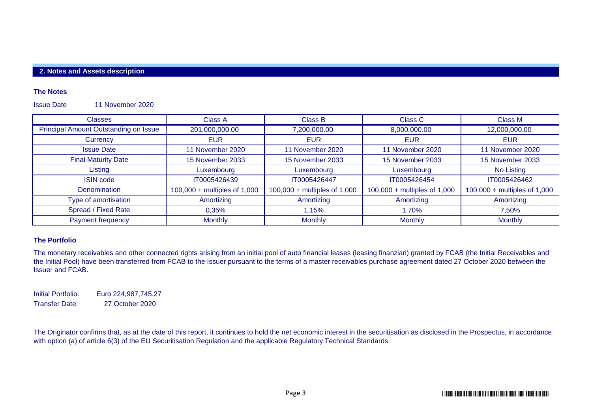# **2. Notes and Assets description**

### **The Notes**

Issue Date 11 November 2020

| <b>Classes</b>                        | Class A                        | Class B                        | Class C                        | Class M                        |
|---------------------------------------|--------------------------------|--------------------------------|--------------------------------|--------------------------------|
| Principal Amount Outstanding on Issue | 201,000,000.00                 | 7,200,000.00                   | 8,000,000.00                   | 12,000,000.00                  |
| Currency                              | <b>EUR</b>                     | <b>EUR</b>                     | <b>EUR</b>                     | <b>EUR</b>                     |
| <b>Issue Date</b>                     | 11 November 2020               | 11 November 2020               | 11 November 2020               | 11 November 2020               |
| <b>Final Maturity Date</b>            | 15 November 2033               | 15 November 2033               | 15 November 2033               | 15 November 2033               |
| Listing                               | Luxembourg                     | Luxembourg                     | Luxembourg                     | No Listing                     |
| <b>ISIN code</b>                      | IT0005426439                   | IT0005426447                   | IT0005426454                   | IT0005426462                   |
| <b>Denomination</b>                   | $100,000 +$ multiples of 1,000 | $100,000 +$ multiples of 1,000 | $100,000 +$ multiples of 1,000 | $100,000 +$ multiples of 1,000 |
| Type of amortisation                  | Amortizing                     | Amortizing                     | Amortizing                     | Amortizing                     |
| Spread / Fixed Rate                   | 0.35%                          | 1.15%                          | l.70%                          | 7.50%                          |
| <b>Payment frequency</b>              | <b>Monthly</b>                 | <b>Monthly</b>                 | <b>Monthly</b>                 | <b>Monthly</b>                 |

## **The Portfolio**

The monetary receivables and other connected rights arising from an initial pool of auto financial leases (leasing finanziari) granted by FCAB (the Initial Receivables and the Initial Pool) have been transferred from FCAB to the Issuer pursuant to the terms of a master receivables purchase agreement dated 27 October 2020 between the Issuer and FCAB.

Initial Portfolio: Euro 224,987,745.27 Transfer Date: 27 October 2020

The Originator confirms that, as at the date of this report, it continues to hold the net economic interest in the securitisation as disclosed in the Prospectus, in accordance with option (a) of article 6(3) of the EU Securitisation Regulation and the applicable Regulatory Technical Standards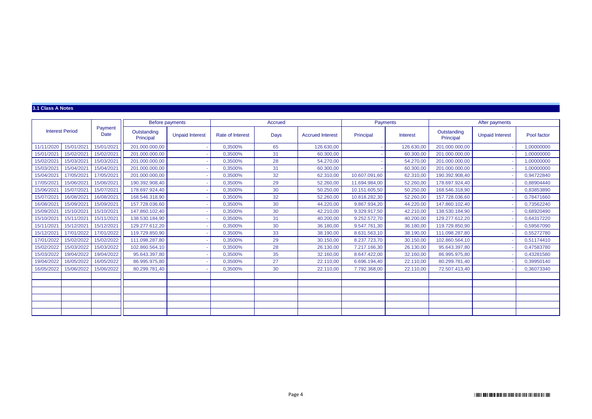### **3.1 Class A Notes**

|            |                        |                 |                          | Before payments        |                  | Accrued |                         |               | Payments   |                          | After payments         |             |
|------------|------------------------|-----------------|--------------------------|------------------------|------------------|---------|-------------------------|---------------|------------|--------------------------|------------------------|-------------|
|            | <b>Interest Period</b> | Payment<br>Date | Outstanding<br>Principal | <b>Unpaid Interest</b> | Rate of Interest | Days    | <b>Accrued Interest</b> | Principal     | Interest   | Outstanding<br>Principal | <b>Unpaid Interest</b> | Pool factor |
| 11/11/2020 | 15/01/2021             | 15/01/2021      | 201.000.000,00           |                        | 0,3500%          | 65      | 126.630.00              |               | 126.630,00 | 201.000.000.00           |                        | 1,00000000  |
| 15/01/2021 | 15/02/2021             | 15/02/2021      | 201.000.000.00           |                        | 0.3500%          | 31      | 60.300,00               |               | 60.300,00  | 201.000.000.00           |                        | 1.00000000  |
| 15/02/2021 | 15/03/2021             | 15/03/2021      | 201.000.000,00           |                        | 0,3500%          | 28      | 54.270,00               |               | 54.270,00  | 201.000.000,00           |                        | 1,00000000  |
| 15/03/2021 | 15/04/2021             | 15/04/2021      | 201.000.000,00           |                        | 0.3500%          | 31      | 60.300,00               |               | 60.300,00  | 201.000.000,00           |                        | 1,00000000  |
| 15/04/2021 | 17/05/2021             | 17/05/2021      | 201.000.000,00           |                        | 0,3500%          | 32      | 62.310,00               | 10.607.091,60 | 62.310,00  | 190.392.908,40           |                        | 0.94722840  |
| 17/05/2021 | 15/06/2021             | 15/06/2021      | 190.392.908.40           |                        | 0,3500%          | 29      | 52.260.00               | 11.694.984,00 | 52.260,00  | 178.697.924,40           |                        | 0,88904440  |
| 15/06/2021 | 15/07/2021             | 15/07/2021      | 178.697.924,40           |                        | 0,3500%          | 30      | 50.250,00               | 10.151.605,50 | 50.250,00  | 168.546.318,90           |                        | 0,83853890  |
| 15/07/2021 | 16/08/2021             | 16/08/2021      | 168.546.318,90           |                        | 0,3500%          | 32      | 52.260,00               | 10.818.282,30 | 52.260,00  | 157.728.036,60           |                        | 0,78471660  |
| 16/08/2021 | 15/09/2021             | 15/09/2021      | 157.728.036.60           |                        | 0.3500%          | 30      | 44.220.00               | 9.867.934.20  | 44.220.00  | 147.860.102.40           |                        | 0.73562240  |
| 15/09/2021 | 15/10/2021             | 15/10/2021      | 147.860.102.40           |                        | 0,3500%          | 30      | 42.210,00               | 9.329.917.50  | 42.210,00  | 138.530.184,90           |                        | 0,68920490  |
| 15/10/2021 | 15/11/2021             | 15/11/2021      | 138.530.184,90           |                        | 0,3500%          | 31      | 40.200,00               | 9.252.572,70  | 40.200,00  | 129.277.612,20           |                        | 0,64317220  |
| 15/11/2021 | 15/12/2021             | 15/12/2021      | 129.277.612.20           |                        | 0.3500%          | 30      | 36.180.00               | 9.547.761.30  | 36.180,00  | 119.729.850,90           |                        | 0,59567090  |
| 15/12/2021 | 17/01/2022             | 17/01/2022      | 119.729.850,90           |                        | 0,3500%          | 33      | 38.190,00               | 8.631.563,10  | 38.190,00  | 111.098.287,80           |                        | 0,55272780  |
| 17/01/2022 | 15/02/2022             | 15/02/2022      | 111.098.287.80           |                        | 0.3500%          | 29      | 30.150.00               | 8.237.723.70  | 30.150.00  | 102.860.564.10           |                        | 0.51174410  |
| 15/02/2022 | 15/03/2022             | 15/03/2022      | 102.860.564,10           |                        | 0,3500%          | 28      | 26.130,00               | 7.217.166,30  | 26.130,00  | 95.643.397,80            |                        | 0,47583780  |
| 15/03/2022 | 19/04/2022             | 19/04/2022      | 95.643.397,80            |                        | 0,3500%          | 35      | 32.160,00               | 8.647.422,00  | 32.160,00  | 86.995.975,80            |                        | 0,43281580  |
| 19/04/2022 | 16/05/2022             | 16/05/2022      | 86.995.975.80            |                        | 0.3500%          | 27      | 22.110.00               | 6.696.194.40  | 22.110.00  | 80.299.781.40            |                        | 0.39950140  |
| 16/05/2022 | 15/06/2022             | 15/06/2022      | 80.299.781.40            |                        | 0,3500%          | 30      | 22.110.00               | 7.792.368,00  | 22.110,00  | 72.507.413.40            |                        | 0,36073340  |
|            |                        |                 |                          |                        |                  |         |                         |               |            |                          |                        |             |
|            |                        |                 |                          |                        |                  |         |                         |               |            |                          |                        |             |
|            |                        |                 |                          |                        |                  |         |                         |               |            |                          |                        |             |
|            |                        |                 |                          |                        |                  |         |                         |               |            |                          |                        |             |
|            |                        |                 |                          |                        |                  |         |                         |               |            |                          |                        |             |
|            |                        |                 |                          |                        |                  |         |                         |               |            |                          |                        |             |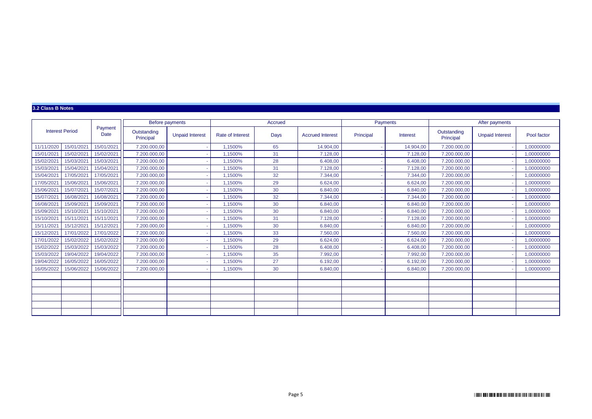### **3.2 Class B Notes**

|            |                        |                 | Before payments          |                        |                         | Accrued |                         |           | Payments        |                          | After payments         |             |
|------------|------------------------|-----------------|--------------------------|------------------------|-------------------------|---------|-------------------------|-----------|-----------------|--------------------------|------------------------|-------------|
|            | <b>Interest Period</b> | Payment<br>Date | Outstanding<br>Principal | <b>Unpaid Interest</b> | <b>Rate of Interest</b> | Days    | <b>Accrued Interest</b> | Principal | <b>Interest</b> | Outstanding<br>Principal | <b>Unpaid Interest</b> | Pool factor |
| 11/11/2020 | 15/01/2021             | 15/01/2021      | 7.200.000.00             |                        | .1500%                  | 65      | 14.904.00               |           | 14.904.00       | 7.200.000.00             |                        | 1.00000000  |
| 15/01/2021 | 15/02/2021             | 15/02/2021      | 7.200.000,00             |                        | .1500%                  | 31      | 7.128.00                |           | 7.128,00        | 7.200.000.00             |                        | 1,00000000  |
| 15/02/2021 | 15/03/2021             | 15/03/2021      | 7.200.000.00             |                        | .1500%                  | 28      | 6.408.00                |           | 6.408.00        | 7.200.000.00             |                        | 1.00000000  |
| 15/03/2021 | 15/04/2021             | 15/04/2021      | 7.200.000,00             |                        | .1500%                  | 31      | 7.128,00                |           | 7.128,00        | 7.200.000.00             |                        | 1,00000000  |
| 15/04/2021 | 17/05/2021             | 17/05/2021      | 7.200.000,00             |                        | .1500%                  | 32      | 7.344,00                |           | 7.344,00        | 7.200.000.00             |                        | 1,00000000  |
| 17/05/2021 | 15/06/2021             | 15/06/2021      | 7.200.000,00             |                        | ,1500%                  | 29      | 6.624,00                |           | 6.624,00        | 7.200.000,00             |                        | 1,00000000  |
| 15/06/2021 | 15/07/2021             | 15/07/2021      | 7.200.000,00             |                        | .1500%                  | 30      | 6.840,00                |           | 6.840,00        | 7.200.000,00             |                        | 1,00000000  |
| 15/07/2021 | 16/08/2021             | 16/08/2021      | 7.200.000,00             |                        | .1500%                  | 32      | 7.344,00                |           | 7.344,00        | 7.200.000,00             |                        | 1,00000000  |
| 16/08/2021 | 15/09/2021             | 15/09/2021      | 7.200.000,00             |                        | .1500%                  | 30      | 6.840.00                |           | 6.840,00        | 7.200.000.00             |                        | 1,00000000  |
| 15/09/2021 | 15/10/2021             | 15/10/2021      | 7.200.000.00             |                        | .1500%                  | 30      | 6.840.00                |           | 6.840.00        | 7.200.000.00             |                        | 1.00000000  |
| 15/10/2021 | 15/11/2021             | 15/11/2021      | 7.200.000,00             |                        | .1500%                  | 31      | 7.128,00                |           | 7.128,00        | 7.200.000,00             |                        | 1,00000000  |
| 15/11/2021 | 15/12/2021             | 15/12/2021      | 7.200.000.00             |                        | .1500%                  | 30      | 6.840.00                |           | 6.840.00        | 7.200.000.00             |                        | 1.00000000  |
| 15/12/2021 | 17/01/2022             | 17/01/2022      | 7.200.000,00             |                        | .1500%                  | 33      | 7.560.00                |           | 7.560,00        | 7.200.000.00             |                        | 1.00000000  |
| 17/01/2022 | 15/02/2022             | 15/02/2022      | 7.200.000.00             |                        | .1500%                  | 29      | 6.624.00                |           | 6.624,00        | 7.200.000.00             |                        | 1.00000000  |
| 15/02/2022 | 15/03/2022             | 15/03/2022      | 7.200.000,00             |                        | .1500%                  | 28      | 6.408,00                |           | 6.408,00        | 7.200.000,00             |                        | 1,00000000  |
| 15/03/2022 | 19/04/2022             | 19/04/2022      | 7.200.000,00             |                        | .1500%                  | 35      | 7.992,00                |           | 7.992,00        | 7.200.000,00             |                        | 1,00000000  |
| 19/04/2022 | 16/05/2022             | 16/05/2022      | 7.200.000,00             |                        | .1500%                  | 27      | 6.192,00                |           | 6.192,00        | 7.200.000.00             |                        | 1,00000000  |
| 16/05/2022 | 15/06/2022             | 15/06/2022      | 7.200.000,00             |                        | 1500%                   | 30      | 6.840,00                |           | 6.840,00        | 7.200.000,00             |                        | 1,00000000  |
|            |                        |                 |                          |                        |                         |         |                         |           |                 |                          |                        |             |
|            |                        |                 |                          |                        |                         |         |                         |           |                 |                          |                        |             |
|            |                        |                 |                          |                        |                         |         |                         |           |                 |                          |                        |             |
|            |                        |                 |                          |                        |                         |         |                         |           |                 |                          |                        |             |
|            |                        |                 |                          |                        |                         |         |                         |           |                 |                          |                        |             |
|            |                        |                 |                          |                        |                         |         |                         |           |                 |                          |                        |             |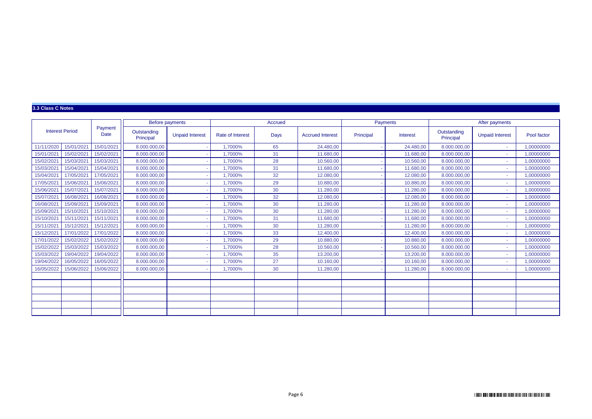### **3.3 Class C Notes**

|            |                        |                        | Before payments          |                        |                         | Accrued |                         |           | Payments        |                          | After payments         |             |
|------------|------------------------|------------------------|--------------------------|------------------------|-------------------------|---------|-------------------------|-----------|-----------------|--------------------------|------------------------|-------------|
|            | <b>Interest Period</b> | Payment<br><b>Date</b> | Outstanding<br>Principal | <b>Unpaid Interest</b> | <b>Rate of Interest</b> | Days    | <b>Accrued Interest</b> | Principal | <b>Interest</b> | Outstanding<br>Principal | <b>Unpaid Interest</b> | Pool factor |
| 11/11/2020 | 15/01/2021             | 15/01/2021             | 8.000.000.00             |                        | .7000%                  | 65      | 24.480.00               |           | 24.480.00       | 8.000.000.00             | ä.                     | 1.00000000  |
| 15/01/2021 | 15/02/2021             | 15/02/2021             | 8.000.000,00             |                        | .7000%                  | 31      | 11.680.00               |           | 11.680,00       | 8.000.000.00             | ٠                      | 1,00000000  |
| 15/02/2021 | 15/03/2021             | 15/03/2021             | 8.000.000.00             |                        | .7000%                  | 28      | 10.560.00               |           | 10.560.00       | 8.000.000.00             | ÷                      | 1.00000000  |
| 15/03/2021 | 15/04/2021             | 15/04/2021             | 8.000.000,00             |                        | .7000%                  | 31      | 11.680.00               |           | 11.680,00       | 8.000.000.00             | ٠                      | 1,00000000  |
| 15/04/2021 | 17/05/2021             | 17/05/2021             | 8.000.000,00             |                        | .7000%                  | 32      | 12.080.00               |           | 12.080,00       | 8.000.000.00             | ÷                      | 1,00000000  |
| 17/05/2021 | 15/06/2021             | 15/06/2021             | 8.000.000,00             |                        | .7000%                  | 29      | 10.880.00               |           | 10.880,00       | 8.000.000.00             | ÷                      | 1,00000000  |
| 15/06/2021 | 15/07/2021             | 15/07/2021             | 8.000.000,00             |                        | ,7000%                  | 30      | 11.280,00               |           | 11.280,00       | 8.000.000,00             | ٠                      | 1,00000000  |
| 15/07/2021 | 16/08/2021             | 16/08/2021             | 8.000.000,00             |                        | .7000%                  | 32      | 12.080,00               |           | 12.080,00       | 8.000.000,00             | ٠                      | 1,00000000  |
| 16/08/2021 | 15/09/2021             | 15/09/2021             | 8.000.000,00             |                        | .7000%                  | 30      | 11.280.00               |           | 11.280,00       | 8.000.000.00             | ٠                      | 1,00000000  |
| 15/09/2021 | 15/10/2021             | 15/10/2021             | 8.000.000.00             |                        | .7000%                  | 30      | 11.280.00               |           | 11.280.00       | 8.000.000.00             | ÷                      | 1.00000000  |
| 15/10/2021 | 15/11/2021             | 15/11/2021             | 8.000.000,00             |                        | .7000%                  | 31      | 11.680.00               |           | 11.680,00       | 8.000.000,00             | ٠                      | 1,00000000  |
| 15/11/2021 | 15/12/2021             | 15/12/2021             | 8.000.000.00             |                        | .7000%                  | 30      | 11.280.00               |           | 11.280.00       | 8.000.000.00             | ٠                      | 1.00000000  |
| 15/12/2021 | 17/01/2022             | 17/01/2022             | 8.000.000.00             |                        | 1.7000%                 | 33      | 12,400.00               |           | 12,400.00       | 8.000.000.00             | ÷                      | 1,00000000  |
| 17/01/2022 | 15/02/2022             | 15/02/2022             | 8.000.000.00             |                        | .7000%                  | 29      | 10.880.00               |           | 10.880,00       | 8.000.000.00             | ÷                      | 1,00000000  |
| 15/02/2022 | 15/03/2022             | 15/03/2022             | 8.000.000,00             |                        | ,7000%                  | 28      | 10.560,00               |           | 10.560,00       | 8.000.000,00             | ٠                      | 1,00000000  |
| 15/03/2022 | 19/04/2022             | 19/04/2022             | 8.000.000,00             |                        | .7000%                  | 35      | 13.200,00               |           | 13.200,00       | 8.000.000,00             | ٠                      | 1,00000000  |
| 19/04/2022 | 16/05/2022             | 16/05/2022             | 8.000.000,00             |                        | .7000%                  | 27      | 10.160.00               |           | 10.160,00       | 8.000.000.00             | ÷                      | 1,00000000  |
| 16/05/2022 | 15/06/2022             | 15/06/2022             | 8.000.000,00             |                        | 1,7000%                 | 30      | 11.280,00               |           | 11.280,00       | 8.000.000,00             | ٠                      | 1,00000000  |
|            |                        |                        |                          |                        |                         |         |                         |           |                 |                          |                        |             |
|            |                        |                        |                          |                        |                         |         |                         |           |                 |                          |                        |             |
|            |                        |                        |                          |                        |                         |         |                         |           |                 |                          |                        |             |
|            |                        |                        |                          |                        |                         |         |                         |           |                 |                          |                        |             |
|            |                        |                        |                          |                        |                         |         |                         |           |                 |                          |                        |             |
|            |                        |                        |                          |                        |                         |         |                         |           |                 |                          |                        |             |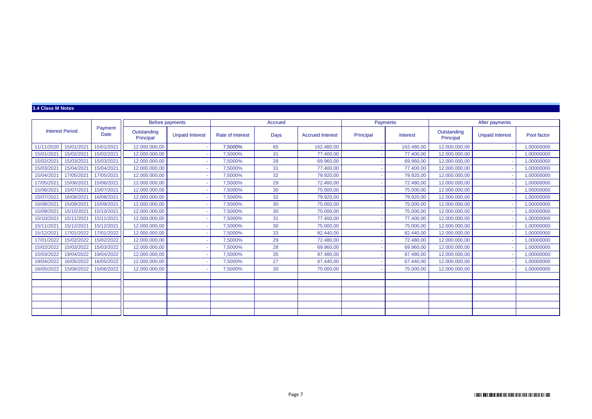### **3.4 Class M Notes**

|                        |            |                 |                          | Before payments        |                  | Accrued |                         |           | <b>Payments</b> |                          | After payments         |             |
|------------------------|------------|-----------------|--------------------------|------------------------|------------------|---------|-------------------------|-----------|-----------------|--------------------------|------------------------|-------------|
| <b>Interest Period</b> |            | Payment<br>Date | Outstanding<br>Principal | <b>Unpaid Interest</b> | Rate of Interest | Days    | <b>Accrued Interest</b> | Principal | Interest        | Outstanding<br>Principal | <b>Unpaid Interest</b> | Pool factor |
| 11/11/2020             | 15/01/2021 | 15/01/2021      | 12.000.000,00            |                        | 7,5000%          | 65      | 162.480.00              |           | 162.480,00      | 12.000.000.00            |                        | 1,00000000  |
| 15/01/2021             | 15/02/2021 | 15/02/2021      | 12.000.000,00            |                        | 7,5000%          | 31      | 77,400.00               |           | 77.400.00       | 12.000.000.00            |                        | 1.00000000  |
| 15/02/2021             | 15/03/2021 | 15/03/2021      | 12.000.000,00            |                        | 7,5000%          | 28      | 69.960.00               |           | 69.960,00       | 12.000.000.00            |                        | 1,00000000  |
| 15/03/2021             | 15/04/2021 | 15/04/2021      | 12.000.000,00            |                        | 7,5000%          | 31      | 77.400,00               |           | 77.400,00       | 12.000.000.00            |                        | 1,00000000  |
| 15/04/2021             | 17/05/2021 | 17/05/2021      | 12.000.000,00            |                        | 7,5000%          | 32      | 79.920,00               |           | 79.920,00       | 12.000.000,00            |                        | 1,00000000  |
| 17/05/2021             | 15/06/2021 | 15/06/2021      | 12.000.000.00            |                        | 7,5000%          | 29      | 72,480.00               |           | 72.480,00       | 12.000.000.00            |                        | 1,00000000  |
| 15/06/2021             | 15/07/2021 | 15/07/2021      | 12.000.000,00            |                        | 7,5000%          | 30      | 75.000,00               |           | 75.000,00       | 12.000.000,00            |                        | 1,00000000  |
| 15/07/2021             | 16/08/2021 | 16/08/2021      | 12.000.000,00            |                        | 7,5000%          | 32      | 79.920,00               |           | 79.920,00       | 12.000.000,00            |                        | 1,00000000  |
| 16/08/2021             | 15/09/2021 | 15/09/2021      | 12.000.000.00            |                        | 7.5000%          | 30      | 75,000.00               |           | 75.000.00       | 12.000.000.00            |                        | 1.00000000  |
| 15/09/2021             | 15/10/2021 | 15/10/2021      | 12.000.000.00            |                        | 7,5000%          | 30      | 75.000,00               |           | 75.000,00       | 12.000.000.00            |                        | 1.00000000  |
| 15/10/2021             | 15/11/2021 | 15/11/2021      | 12.000.000,00            |                        | 7,5000%          | 31      | 77.400,00               |           | 77.400,00       | 12.000.000,00            |                        | 1,00000000  |
| 15/11/2021             | 15/12/2021 | 15/12/2021      | 12.000.000.00            |                        | 7.5000%          | 30      | 75,000.00               |           | 75.000,00       | 12.000.000.00            |                        | 1.00000000  |
| 15/12/2021             | 17/01/2022 | 17/01/2022      | 12.000.000,00            |                        | 7,5000%          | 33      | 82,440.00               |           | 82.440,00       | 12.000.000,00            |                        | 1,00000000  |
| 17/01/2022             | 15/02/2022 | 15/02/2022      | 12.000.000.00            |                        | 7.5000%          | 29      | 72,480.00               |           | 72.480.00       | 12.000.000.00            |                        | 1.00000000  |
| 15/02/2022             | 15/03/2022 | 15/03/2022      | 12.000.000,00            |                        | 7,5000%          | 28      | 69.960,00               |           | 69.960,00       | 12.000.000,00            |                        | 1,00000000  |
| 15/03/2022             | 19/04/2022 | 19/04/2022      | 12.000.000,00            |                        | 7.5000%          | 35      | 87,480,00               |           | 87.480,00       | 12.000.000,00            |                        | 1,00000000  |
| 19/04/2022             | 16/05/2022 | 16/05/2022      | 12.000.000.00            |                        | 7.5000%          | 27      | 67,440.00               |           | 67.440.00       | 12.000.000.00            |                        | 1.00000000  |
| 16/05/2022             | 15/06/2022 | 15/06/2022      | 12.000.000,00            |                        | 7,5000%          | 30      | 75.000,00               |           | 75.000,00       | 12.000.000,00            |                        | 1,00000000  |
|                        |            |                 |                          |                        |                  |         |                         |           |                 |                          |                        |             |
|                        |            |                 |                          |                        |                  |         |                         |           |                 |                          |                        |             |
|                        |            |                 |                          |                        |                  |         |                         |           |                 |                          |                        |             |
|                        |            |                 |                          |                        |                  |         |                         |           |                 |                          |                        |             |
|                        |            |                 |                          |                        |                  |         |                         |           |                 |                          |                        |             |
|                        |            |                 |                          |                        |                  |         |                         |           |                 |                          |                        |             |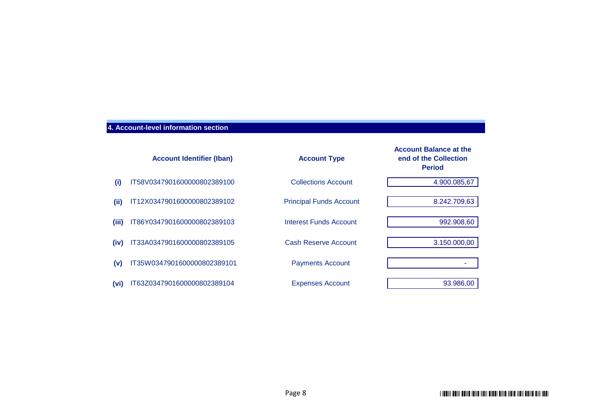# **4. Account-level information section**

|       | <b>Account Identifier (Iban)</b> | <b>Account Type</b>            | <b>Account Balance at the</b><br>end of the Collection<br><b>Period</b> |
|-------|----------------------------------|--------------------------------|-------------------------------------------------------------------------|
| (i)   | IT58V0347901600000802389100      | <b>Collections Account</b>     | 4.900.085,67                                                            |
| (iii) | IT12X0347901600000802389102      | <b>Principal Funds Account</b> | 8.242.709,63                                                            |
| (iii) | IT86Y0347901600000802389103      | Interest Funds Account         | 992.908,60                                                              |
| (iv)  | IT33A0347901600000802389105      | <b>Cash Reserve Account</b>    | 3.150.000,00                                                            |
| (v)   | IT35W0347901600000802389101      | <b>Payments Account</b>        |                                                                         |
| (vi)  | IT63Z0347901600000802389104      | <b>Expenses Account</b>        | 93.986,00                                                               |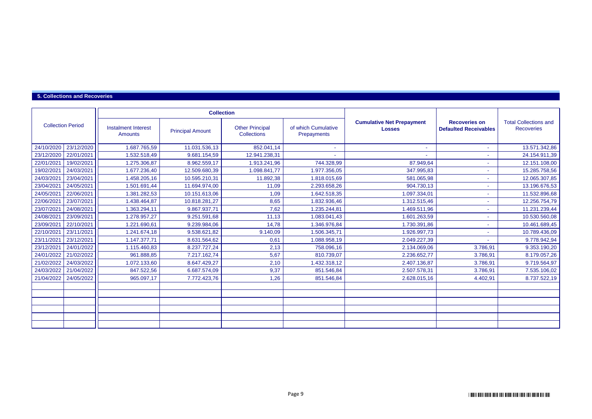### **5. Collections and Recoveries**

|                          |            |                                              | <b>Collection</b>       |                                              |                                    |                                                   |                                                      |                                                   |
|--------------------------|------------|----------------------------------------------|-------------------------|----------------------------------------------|------------------------------------|---------------------------------------------------|------------------------------------------------------|---------------------------------------------------|
| <b>Collection Period</b> |            | <b>Instalment Interest</b><br><b>Amounts</b> | <b>Principal Amount</b> | <b>Other Principal</b><br><b>Collections</b> | of which Cumulative<br>Prepayments | <b>Cumulative Net Prepayment</b><br><b>Losses</b> | <b>Recoveries on</b><br><b>Defaulted Receivables</b> | <b>Total Collections and</b><br><b>Recoveries</b> |
| 24/10/2020               | 23/12/2020 | 1.687.765,59                                 | 11.031.536,13           | 852.041,14                                   |                                    |                                                   | ٠                                                    | 13.571.342,86                                     |
| 23/12/2020               | 22/01/2021 | 1.532.518,49                                 | 9.681.154,59            | 12.941.238,31                                |                                    |                                                   | ۰                                                    | 24.154.911,39                                     |
| 22/01/2021               | 19/02/2021 | 1.275.306,87                                 | 8.962.559,17            | 1.913.241,96                                 | 744.328,99                         | 87.949.64                                         |                                                      | 12.151.108,00                                     |
| 19/02/2021               | 24/03/2021 | 1.677.236,40                                 | 12.509.680,39           | 1.098.841,77                                 | 1.977.356,05                       | 347.995,83                                        | ٠                                                    | 15.285.758,56                                     |
| 24/03/2021               | 23/04/2021 | 1.458.205,16                                 | 10.595.210,31           | 11.892,38                                    | 1.818.015,69                       | 581.065,98                                        |                                                      | 12.065.307,85                                     |
| 23/04/2021               | 24/05/2021 | 1.501.691,44                                 | 11.694.974,00           | 11,09                                        | 2.293.658.26                       | 904.730,13                                        | ٠                                                    | 13.196.676,53                                     |
| 24/05/2021               | 22/06/2021 | 1.381.282,53                                 | 10.151.613,06           | 1,09                                         | 1.642.518,35                       | 1.097.334,01                                      | ٠                                                    | 11.532.896,68                                     |
| 22/06/2021               | 23/07/2021 | 1.438.464,87                                 | 10.818.281,27           | 8,65                                         | 1.832.936,46                       | 1.312.515,46                                      | ٠                                                    | 12.256.754,79                                     |
| 23/07/2021               | 24/08/2021 | 1.363.294,11                                 | 9.867.937,71            | 7,62                                         | 1.235.244.81                       | 1.469.511,96                                      | ٠                                                    | 11.231.239,44                                     |
| 24/08/2021               | 23/09/2021 | 1.278.957,27                                 | 9.251.591,68            | 11,13                                        | 1.083.041,43                       | 1.601.263,59                                      |                                                      | 10.530.560,08                                     |
| 23/09/2021               | 22/10/2021 | 1.221.690,61                                 | 9.239.984,06            | 14,78                                        | 1.346.976,84                       | 1.730.391,86                                      | ٠                                                    | 10.461.689,45                                     |
| 22/10/2021               | 23/11/2021 | 1.241.674,18                                 | 9.538.621,82            | 9.140,09                                     | 1.506.345.71                       | 1.926.997.73                                      | ٠                                                    | 10.789.436,09                                     |
| 23/11/2021               | 23/12/2021 | 1.147.377,71                                 | 8.631.564,62            | 0,61                                         | 1.088.958,19                       | 2.049.227,39                                      |                                                      | 9.778.942,94                                      |
| 23/12/2021               | 24/01/2022 | 1.115.460,83                                 | 8.237.727,24            | 2,13                                         | 758.096,16                         | 2.134.069,06                                      | 3.786,91                                             | 9.353.190,20                                      |
| 24/01/2022               | 21/02/2022 | 961.888,85                                   | 7.217.162,74            | 5,67                                         | 810.739,07                         | 2.236.652,77                                      | 3.786,91                                             | 8.179.057,26                                      |
| 21/02/2022               | 24/03/2022 | 1.072.133,60                                 | 8.647.429,27            | 2,10                                         | 1.432.318,12                       | 2.407.136,87                                      | 3.786.91                                             | 9.719.564,97                                      |
| 24/03/2022               | 21/04/2022 | 847.522,56                                   | 6.687.574,09            | 9,37                                         | 851.546,84                         | 2.507.578,31                                      | 3.786,91                                             | 7.535.106,02                                      |
| 21/04/2022               | 24/05/2022 | 965.097,17                                   | 7.772.423,76            | 1,26                                         | 851.546,84                         | 2.628.015,16                                      | 4.402,91                                             | 8.737.522,19                                      |
|                          |            |                                              |                         |                                              |                                    |                                                   |                                                      |                                                   |
|                          |            |                                              |                         |                                              |                                    |                                                   |                                                      |                                                   |
|                          |            |                                              |                         |                                              |                                    |                                                   |                                                      |                                                   |
|                          |            |                                              |                         |                                              |                                    |                                                   |                                                      |                                                   |
|                          |            |                                              |                         |                                              |                                    |                                                   |                                                      |                                                   |
|                          |            |                                              |                         |                                              |                                    |                                                   |                                                      |                                                   |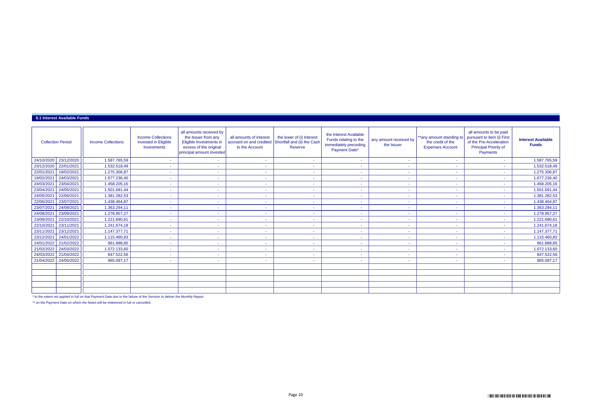#### **6.1 Interest Available Funds**

| <b>Collection Period</b> | <b>Income Collections</b> | <b>Income Collections</b><br>invested in Eligible<br>Investments | all amounts received by<br>the Issuer from any<br>Eligible Investments in<br>excess of the original<br>principal amount invested | all amounts of interest<br>accrued on and credited<br>to the Account | the lower of (i) Interest<br>Shortfall and (ii) the Cash<br>Reserve | the Interest Available<br>Funds relating to the<br>immediately preceding<br>Payment Date* | any amount received by<br>the Issuer | **any amount standing to<br>the credit of the<br><b>Expenses Account</b> | all amounts to be paid<br>pursuant to item (i) First<br>of the Pre-Acceleration<br><b>Principal Priority of</b><br>Payments | <b>Interest Available</b><br><b>Funds</b> |
|--------------------------|---------------------------|------------------------------------------------------------------|----------------------------------------------------------------------------------------------------------------------------------|----------------------------------------------------------------------|---------------------------------------------------------------------|-------------------------------------------------------------------------------------------|--------------------------------------|--------------------------------------------------------------------------|-----------------------------------------------------------------------------------------------------------------------------|-------------------------------------------|
| 23/12/2020<br>24/10/2020 | 1.587.765,59              |                                                                  | ٠                                                                                                                                | $\sim$                                                               | $\sim$                                                              |                                                                                           | $\sim$                               | $\sim$                                                                   |                                                                                                                             | 1.587.765,59                              |
| 22/01/2021<br>23/12/2020 | 1.532.518,49              |                                                                  | $\tilde{\phantom{a}}$                                                                                                            | ۰                                                                    |                                                                     |                                                                                           | ٠                                    | ÷                                                                        |                                                                                                                             | 1.532.518,49                              |
| 19/02/2021<br>22/01/2021 | 1.275.306,87              |                                                                  | $\tilde{\phantom{a}}$                                                                                                            |                                                                      |                                                                     |                                                                                           | ٠                                    | ٠                                                                        |                                                                                                                             | 1.275.306,87                              |
| 24/03/2021<br>19/02/2021 | 1.677.236,40              |                                                                  | $\tilde{\phantom{a}}$                                                                                                            |                                                                      | ۰                                                                   |                                                                                           | $\sim$                               | ٠                                                                        |                                                                                                                             | 1.677.236,40                              |
| 24/03/2021<br>23/04/2021 | 1.458.205,16              | $\overline{\phantom{a}}$                                         | $\sim$                                                                                                                           | $\sim$                                                               | ۰                                                                   | ۰                                                                                         | $\sim$                               | <b>COL</b>                                                               | ۰                                                                                                                           | 1.458.205,16                              |
| 23/04/2021<br>24/05/2021 | 1.501.691,44              |                                                                  | $\overline{\phantom{a}}$                                                                                                         |                                                                      |                                                                     |                                                                                           | ٠                                    | ٠                                                                        |                                                                                                                             | 1.501.691,44                              |
| 22/06/2021<br>24/05/2021 | 1.381.282,53              |                                                                  | ٠                                                                                                                                | $\sim$                                                               | $\sim$                                                              |                                                                                           | ÷                                    | ٠                                                                        |                                                                                                                             | 1.381.282,53                              |
| 22/06/2021<br>23/07/2021 | 1.438.464,87              |                                                                  | ٠                                                                                                                                | ٠                                                                    | ٠                                                                   |                                                                                           | $\sim$                               | $\sim$                                                                   | ٠                                                                                                                           | 1.438.464,87                              |
| 24/08/2021<br>23/07/2021 | 1.363.294,11              |                                                                  | ٠                                                                                                                                | $\sim$                                                               | ۰                                                                   |                                                                                           | $\sim$                               | <b>COL</b>                                                               |                                                                                                                             | 1.363.294,11                              |
| 24/08/2021<br>23/09/2021 | 1.278.957,27              |                                                                  | $\tilde{\phantom{a}}$                                                                                                            |                                                                      | ۰                                                                   |                                                                                           | ۰                                    | $\sim$                                                                   |                                                                                                                             | 1.278.957,27                              |
| 22/10/2021<br>23/09/2021 | 1.221.690,61              |                                                                  | $\tilde{\phantom{a}}$                                                                                                            |                                                                      |                                                                     |                                                                                           |                                      | ٠                                                                        |                                                                                                                             | 1.221.690,61                              |
| 22/10/2021<br>23/11/2021 | 1.241.674,18              |                                                                  | ٠                                                                                                                                | ٠                                                                    | ٠                                                                   |                                                                                           | $\sim$                               | $\sim$                                                                   | ٠                                                                                                                           | 1.241.674,18                              |
| 23/12/2021<br>23/11/2021 | 1.147.377,71              |                                                                  | ٠                                                                                                                                | ٠                                                                    | ٠                                                                   |                                                                                           | $\sim$                               | ÷                                                                        |                                                                                                                             | 1.147.377,71                              |
| 23/12/2021<br>24/01/2022 | 1.115.460,83              |                                                                  | $\sim$                                                                                                                           | ۰                                                                    | ۰                                                                   |                                                                                           | ٠                                    | ٠                                                                        |                                                                                                                             | 1.115.460,83                              |
| 24/01/2022<br>21/02/2022 | 961.888,85                |                                                                  | ٠                                                                                                                                | $\sim$                                                               | $\sim$                                                              |                                                                                           | ÷                                    | ٠                                                                        |                                                                                                                             | 961.888,85                                |
| 21/02/2022<br>24/03/2022 | 1.072.133,60              |                                                                  | ٠                                                                                                                                | $\sim$                                                               | ٠                                                                   |                                                                                           | $\sim$                               | $\sim$                                                                   | ٠                                                                                                                           | 1.072.133,60                              |
| 21/04/2022<br>24/03/2022 | 847.522,56                |                                                                  | ٠                                                                                                                                | $\sim$                                                               | ٠                                                                   |                                                                                           | $\sim$                               | $\sim$                                                                   |                                                                                                                             | 847.522,56                                |
| 21/04/2022<br>24/05/2022 | 965.097,17                |                                                                  | $\tilde{\phantom{a}}$                                                                                                            | $\sim$                                                               |                                                                     |                                                                                           | ٠                                    | ٠                                                                        |                                                                                                                             | 965.097,17                                |
|                          |                           |                                                                  |                                                                                                                                  |                                                                      |                                                                     |                                                                                           |                                      |                                                                          |                                                                                                                             |                                           |
|                          |                           |                                                                  |                                                                                                                                  |                                                                      |                                                                     |                                                                                           |                                      |                                                                          |                                                                                                                             |                                           |
|                          |                           |                                                                  |                                                                                                                                  |                                                                      |                                                                     |                                                                                           |                                      |                                                                          |                                                                                                                             |                                           |
|                          |                           |                                                                  |                                                                                                                                  |                                                                      |                                                                     |                                                                                           |                                      |                                                                          |                                                                                                                             |                                           |
|                          |                           |                                                                  |                                                                                                                                  |                                                                      |                                                                     |                                                                                           |                                      |                                                                          |                                                                                                                             |                                           |

\* to the extent not applied in full on that Payment Date due to the failure of the Servicer to deliver the Monthly Report

\*\* on the Payment Date on which the Notes will be redeemed in full or cancelled,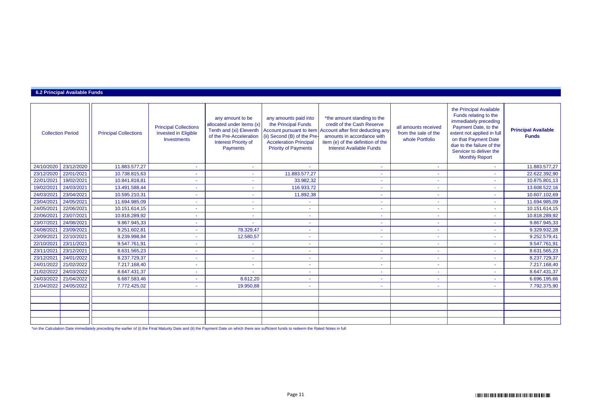### **6.2 Principal Available Funds**

| <b>Collection Period</b> |            | <b>Principal Collections</b> | <b>Principal Collections</b><br>invested in Eligible<br><b>Investments</b> | any amount to be<br>allocated under items (x)<br>Tenth and (xi) Eleventh<br>of the Pre-Acceleration<br><b>Interest Priority of</b><br>Payments | any amounts paid into<br>the Principal Funds<br>Account pursuant to item<br>(ii) Second (B) of the Pre-<br><b>Acceleration Principal</b><br><b>Priority of Payments</b> | *the amount standing to the<br>credit of the Cash Reserve<br>Account after first deducting any<br>amounts in accordance with<br>item (e) of the definition of the<br><b>Interest Available Funds</b> | all amounts received<br>from the sale of the<br>whole Portfolio | the Principal Available<br>Funds relating to the<br>immediately preceding<br>Payment Date, to the<br>extent not applied in full<br>on that Payment Date<br>due to the failure of the<br>Servicer to deliver the<br><b>Monthly Report</b> | <b>Principal Available</b><br><b>Funds</b> |
|--------------------------|------------|------------------------------|----------------------------------------------------------------------------|------------------------------------------------------------------------------------------------------------------------------------------------|-------------------------------------------------------------------------------------------------------------------------------------------------------------------------|------------------------------------------------------------------------------------------------------------------------------------------------------------------------------------------------------|-----------------------------------------------------------------|------------------------------------------------------------------------------------------------------------------------------------------------------------------------------------------------------------------------------------------|--------------------------------------------|
| 24/10/2020               | 23/12/2020 | 11.883.577,27                | $\sim$                                                                     | $\sim$                                                                                                                                         | $\sim$                                                                                                                                                                  | $\sim$                                                                                                                                                                                               | $\sim$                                                          |                                                                                                                                                                                                                                          | 11.883.577,27                              |
| 23/12/2020               | 22/01/2021 | 10.738.815,63                |                                                                            |                                                                                                                                                | 11.883.577,27                                                                                                                                                           |                                                                                                                                                                                                      |                                                                 |                                                                                                                                                                                                                                          | 22.622.392,90                              |
| 22/01/2021               | 19/02/2021 | 10.841.818,81                |                                                                            |                                                                                                                                                | 33.982,32                                                                                                                                                               |                                                                                                                                                                                                      |                                                                 |                                                                                                                                                                                                                                          | 10.875.801,13                              |
| 19/02/2021               | 24/03/2021 | 13.491.588,44                | $\sim$                                                                     | $\sim$                                                                                                                                         | 116.933,72                                                                                                                                                              | $\sim$                                                                                                                                                                                               | $\sim$                                                          |                                                                                                                                                                                                                                          | 13.608.522,16                              |
| 24/03/2021               | 23/04/2021 | 10.595.210,31                | $\sim$                                                                     | $\sim$                                                                                                                                         | 11.892,38                                                                                                                                                               | ٠                                                                                                                                                                                                    | ٠                                                               | $\sim$                                                                                                                                                                                                                                   | 10.607.102,69                              |
| 23/04/2021               | 24/05/2021 | 11.694.985,09                |                                                                            |                                                                                                                                                |                                                                                                                                                                         |                                                                                                                                                                                                      |                                                                 |                                                                                                                                                                                                                                          | 11.694.985,09                              |
| 24/05/2021               | 22/06/2021 | 10.151.614,15                | $\sim$                                                                     | $\sim$                                                                                                                                         | $\sim$                                                                                                                                                                  | $\sim$                                                                                                                                                                                               | $\sim$                                                          |                                                                                                                                                                                                                                          | 10.151.614,15                              |
| 22/06/2021               | 23/07/2021 | 10.818.289,92                | $\sim$                                                                     | $\sim$                                                                                                                                         | $\sim$                                                                                                                                                                  | $\sim$                                                                                                                                                                                               | $\sim$                                                          | $\overline{\phantom{a}}$                                                                                                                                                                                                                 | 10.818.289,92                              |
| 23/07/2021               | 24/08/2021 | 9.867.945,33                 |                                                                            |                                                                                                                                                |                                                                                                                                                                         |                                                                                                                                                                                                      |                                                                 |                                                                                                                                                                                                                                          | 9.867.945,33                               |
| 24/08/2021               | 23/09/2021 | 9.251.602,81                 | $\sim$                                                                     | 78.329,47                                                                                                                                      | $\sim$                                                                                                                                                                  | $\sim$                                                                                                                                                                                               | $\sim$                                                          |                                                                                                                                                                                                                                          | 9.329.932,28                               |
| 23/09/2021               | 22/10/2021 | 9.239.998,84                 |                                                                            | 12.580,57                                                                                                                                      |                                                                                                                                                                         |                                                                                                                                                                                                      |                                                                 |                                                                                                                                                                                                                                          | 9.252.579,41                               |
| 22/10/2021               | 23/11/2021 | 9.547.761,91                 |                                                                            |                                                                                                                                                | ٠                                                                                                                                                                       | $\overline{\phantom{a}}$                                                                                                                                                                             | $\sim$                                                          |                                                                                                                                                                                                                                          | 9.547.761,91                               |
| 23/11/2021               | 23/12/2021 | 8.631.565,23                 |                                                                            |                                                                                                                                                | $\sim$                                                                                                                                                                  |                                                                                                                                                                                                      |                                                                 |                                                                                                                                                                                                                                          | 8.631.565,23                               |
| 23/12/2021               | 24/01/2022 | 8.237.729,37                 |                                                                            | $\sim$                                                                                                                                         | ٠                                                                                                                                                                       | $\overline{\phantom{a}}$                                                                                                                                                                             | $\sim$                                                          |                                                                                                                                                                                                                                          | 8.237.729,37                               |
| 24/01/2022               | 21/02/2022 | 7.217.168,40                 |                                                                            | $\sim$                                                                                                                                         | ٠                                                                                                                                                                       | $\blacksquare$                                                                                                                                                                                       | $\sim$                                                          |                                                                                                                                                                                                                                          | 7.217.168,40                               |
| 21/02/2022               | 24/03/2022 | 8.647.431,37                 |                                                                            |                                                                                                                                                |                                                                                                                                                                         |                                                                                                                                                                                                      |                                                                 |                                                                                                                                                                                                                                          | 8.647.431,37                               |
| 24/03/2022               | 21/04/2022 | 6.687.583,46                 | $\sim$                                                                     | 8.612,20                                                                                                                                       | $\sim$                                                                                                                                                                  | $\sim$                                                                                                                                                                                               | $\sim$                                                          | $\sim$                                                                                                                                                                                                                                   | 6.696.195,66                               |
| 21/04/2022               | 24/05/2022 | 7.772.425,02                 |                                                                            | 19.950,88                                                                                                                                      | ٠                                                                                                                                                                       | ٠                                                                                                                                                                                                    | ٠                                                               |                                                                                                                                                                                                                                          | 7.792.375,90                               |
|                          |            |                              |                                                                            |                                                                                                                                                |                                                                                                                                                                         |                                                                                                                                                                                                      |                                                                 |                                                                                                                                                                                                                                          |                                            |
|                          |            |                              |                                                                            |                                                                                                                                                |                                                                                                                                                                         |                                                                                                                                                                                                      |                                                                 |                                                                                                                                                                                                                                          |                                            |
|                          |            |                              |                                                                            |                                                                                                                                                |                                                                                                                                                                         |                                                                                                                                                                                                      |                                                                 |                                                                                                                                                                                                                                          |                                            |
|                          |            |                              |                                                                            |                                                                                                                                                |                                                                                                                                                                         |                                                                                                                                                                                                      |                                                                 |                                                                                                                                                                                                                                          |                                            |
|                          |            |                              |                                                                            |                                                                                                                                                |                                                                                                                                                                         |                                                                                                                                                                                                      |                                                                 |                                                                                                                                                                                                                                          |                                            |

\*on the Calculation Date immediately preceding the earlier of (i) the Final Maturity Date and (ii) the Payment Date on which there are sufficient funds to redeem the Rated Notes in full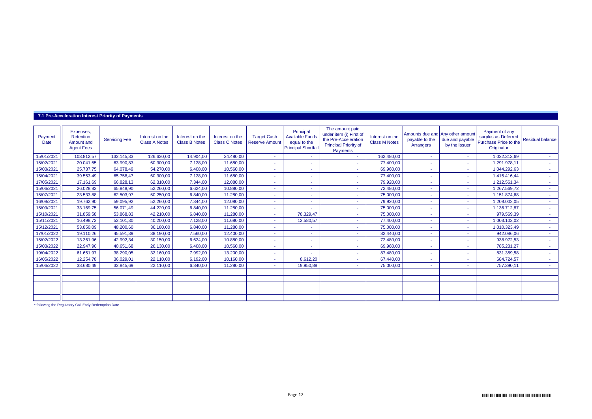#### **7.1 Pre-Acceleration Interest Priority of Payments**

| Payment<br>Date | Expenses,<br>Retention<br>Amount and<br><b>Agent Fees</b> | <b>Servicing Fee</b> | Interest on the<br><b>Class A Notes</b> | Interest on the<br><b>Class B Notes</b> | Interest on the<br><b>Class C Notes</b> | <b>Target Cash</b><br><b>Reserve Amount</b> | Principal<br><b>Available Funds</b><br>equal to the<br><b>Principal Shortfall</b> | The amount paid<br>under item (i) First of<br>the Pre-Acceleration<br><b>Principal Priority of</b><br><b>Payments</b> | Interest on the<br><b>Class M Notes</b> | Amounts due and Any other amount<br>payable to the<br>Arrangers | due and payable<br>by the Issuer | Payment of any<br>surplus as Deferred<br>Purchase Price to the<br>Originator | <b>Residual balance</b> |
|-----------------|-----------------------------------------------------------|----------------------|-----------------------------------------|-----------------------------------------|-----------------------------------------|---------------------------------------------|-----------------------------------------------------------------------------------|-----------------------------------------------------------------------------------------------------------------------|-----------------------------------------|-----------------------------------------------------------------|----------------------------------|------------------------------------------------------------------------------|-------------------------|
| 15/01/2021      | 103.812,57                                                | 133.145,33           | 126.630,00                              | 14.904.00                               | 24,480.00                               | <b>Section</b>                              |                                                                                   | $\sim$                                                                                                                | 162.480,00                              | $\sim$                                                          | $\sim$                           | 1.022.313,69                                                                 | <b>Section</b>          |
| 15/02/2021      | 20.041.55                                                 | 63.990,83            | 60.300,00                               | 7.128,00                                | 11.680,00                               | $\sim$                                      |                                                                                   | ٠                                                                                                                     | 77.400,00                               |                                                                 |                                  | 1.291.978,11                                                                 | 14.1                    |
| 15/03/2021      | 25.737,75                                                 | 64.078,49            | 54.270,00                               | 6.408,00                                | 10.560,00                               | $\sim$                                      |                                                                                   | $\sim$                                                                                                                | 69.960,00                               | ٠                                                               | ٠                                | 1.044.292,63                                                                 | <b>Section</b>          |
| 15/04/2021      | 39.553,49                                                 | 65.758,47            | 60.300,00                               | 7.128,00                                | 11.680,00                               |                                             |                                                                                   | ٠                                                                                                                     | 77.400,00                               |                                                                 |                                  | 1.415.416,44                                                                 | $\sim$                  |
| 17/05/2021      | 17.161.69                                                 | 66.828.13            | 62.310.00                               | 7.344.00                                | 12.080.00                               | ٠                                           |                                                                                   | ٠                                                                                                                     | 79.920,00                               |                                                                 | ٠                                | 1.212.561,34                                                                 | $\sim$                  |
| 15/06/2021      | 26.028,82                                                 | 65.848,90            | 52.260,00                               | 6.624,00                                | 10.880,00                               | ٠                                           |                                                                                   | ٠                                                                                                                     | 72.480,00                               |                                                                 |                                  | 1.267.569,72                                                                 | $\sim$                  |
| 15/07/2021      | 23.533.88                                                 | 62.503,97            | 50.250,00                               | 6.840,00                                | 11.280,00                               | $\sim$                                      |                                                                                   | ٠                                                                                                                     | 75.000,00                               |                                                                 |                                  | 1.151.874,68                                                                 | <b>.</b>                |
| 16/08/2021      | 19.762,90                                                 | 59.095,92            | 52.260,00                               | 7.344,00                                | 12.080,00                               | ٠                                           |                                                                                   | ٠                                                                                                                     | 79.920,00                               |                                                                 |                                  | 1.208.002,05                                                                 | $\sim$                  |
| 15/09/2021      | 33.169,75                                                 | 56.071,49            | 44.220,00                               | 6.840,00                                | 11.280,00                               | $\sim$                                      |                                                                                   | ٠                                                                                                                     | 75.000,00                               |                                                                 |                                  | 1.136.712,87                                                                 | 14.                     |
| 15/10/2021      | 31.859,58                                                 | 53.868,83            | 42.210,00                               | 6.840,00                                | 11.280,00                               | $\sim$                                      | 78.329,47                                                                         | ٠                                                                                                                     | 75.000,00                               |                                                                 |                                  | 979.569,39                                                                   | $\sim$                  |
| 15/11/2021      | 16.498,72                                                 | 53.101,30            | 40.200,00                               | 7.128,00                                | 11.680,00                               |                                             | 12.580,57                                                                         | ٠                                                                                                                     | 77.400,00                               |                                                                 |                                  | 1.003.102,02                                                                 |                         |
| 15/12/2021      | 53.850.09                                                 | 48.200,60            | 36.180,00                               | 6.840,00                                | 11.280,00                               | $\sim$                                      |                                                                                   | ٠                                                                                                                     | 75.000,00                               |                                                                 |                                  | 1.010.323,49                                                                 | $\sim$                  |
| 17/01/2022      | 19.110,26                                                 | 45.591,39            | 38.190,00                               | 7.560,00                                | 12.400,00                               |                                             |                                                                                   | ٠                                                                                                                     | 82.440,00                               |                                                                 |                                  | 942.086,06                                                                   | $\sim$                  |
| 15/02/2022      | 13.361,96                                                 | 42.992,34            | 30.150,00                               | 6.624,00                                | 10.880,00                               | $\sim$                                      |                                                                                   | ٠                                                                                                                     | 72.480,00                               |                                                                 | ٠                                | 938.972,53                                                                   | $\sim$                  |
| 15/03/2022      | 22.947,90                                                 | 40.651,68            | 26.130,00                               | 6.408,00                                | 10.560,00                               | ٠                                           |                                                                                   | ٠                                                                                                                     | 69.960,00                               |                                                                 |                                  | 785.231,27                                                                   | $\sim$                  |
| 19/04/2022      | 61.651.97                                                 | 38.290,05            | 32.160,00                               | 7.992,00                                | 13,200.00                               | $\sim$                                      |                                                                                   | ٠                                                                                                                     | 87.480,00                               |                                                                 | ÷                                | 831.359,58                                                                   | $\sim$                  |
| 16/05/2022      | 12.254.78                                                 | 36.029,01            | 22.110,00                               | 6.192,00                                | 10.160,00                               | ٠                                           | 8.612.20                                                                          | ٠                                                                                                                     | 67.440,00                               |                                                                 |                                  | 684.724,57                                                                   | <b>Section</b>          |
| 15/06/2022      | 38.680,49                                                 | 33.845,69            | 22.110,00                               | 6.840,00                                | 11.280,00                               | $\sim$                                      | 19.950,88                                                                         | ٠                                                                                                                     | 75.000,00                               |                                                                 |                                  | 757.390,11                                                                   |                         |
|                 |                                                           |                      |                                         |                                         |                                         |                                             |                                                                                   |                                                                                                                       |                                         |                                                                 |                                  |                                                                              |                         |
|                 |                                                           |                      |                                         |                                         |                                         |                                             |                                                                                   |                                                                                                                       |                                         |                                                                 |                                  |                                                                              |                         |
|                 |                                                           |                      |                                         |                                         |                                         |                                             |                                                                                   |                                                                                                                       |                                         |                                                                 |                                  |                                                                              |                         |
|                 |                                                           |                      |                                         |                                         |                                         |                                             |                                                                                   |                                                                                                                       |                                         |                                                                 |                                  |                                                                              |                         |
|                 |                                                           |                      |                                         |                                         |                                         |                                             |                                                                                   |                                                                                                                       |                                         |                                                                 |                                  |                                                                              |                         |

\* following the Regulatory Call Early Redemption Date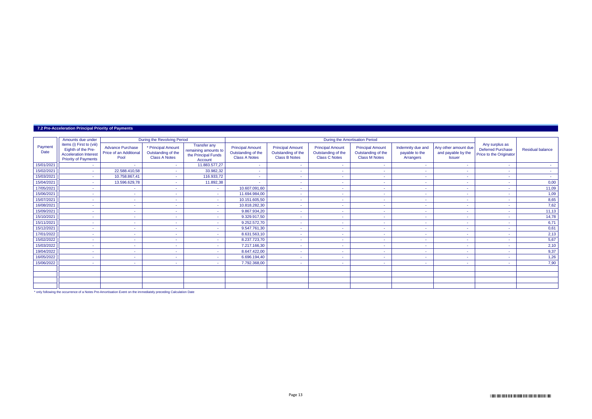| 7.2 Pre-Acceleration Principal Priority of Payments |  |  |
|-----------------------------------------------------|--|--|
|-----------------------------------------------------|--|--|

|                 | Amounts due under                                                                                              |                                                           | During the Revolving Period                                      |                                                                               |                                                                       |                                                                       |                                                                       | During the Amortisation Period                                        |                                                  |                                                             |                                                                       |                         |
|-----------------|----------------------------------------------------------------------------------------------------------------|-----------------------------------------------------------|------------------------------------------------------------------|-------------------------------------------------------------------------------|-----------------------------------------------------------------------|-----------------------------------------------------------------------|-----------------------------------------------------------------------|-----------------------------------------------------------------------|--------------------------------------------------|-------------------------------------------------------------|-----------------------------------------------------------------------|-------------------------|
| Payment<br>Date | items (i) First to (viii)<br>Eighth of the Pre-<br><b>Acceleration Interest</b><br><b>Priority of Payments</b> | <b>Advance Purchase</b><br>Price of an Additional<br>Pool | * Principal Amount<br>Outstanding of the<br><b>Class A Notes</b> | <b>Transfer any</b><br>remaining amounts to<br>the Principal Funds<br>Account | <b>Principal Amount</b><br>Outstanding of the<br><b>Class A Notes</b> | <b>Principal Amount</b><br>Outstanding of the<br><b>Class B Notes</b> | <b>Principal Amount</b><br>Outstanding of the<br><b>Class C Notes</b> | <b>Principal Amount</b><br>Outstanding of the<br><b>Class M Notes</b> | Indemnity due and<br>payable to the<br>Arrangers | Any other amount due<br>and payable by the<br><b>Issuer</b> | Any surplus as<br><b>Deferred Purchase</b><br>Price to the Originator | <b>Residual balance</b> |
| 15/01/2021      | $\sim$                                                                                                         | $\sim$                                                    | <b>Section</b>                                                   | 11.883.577,27                                                                 |                                                                       | . .                                                                   | <b>COL</b>                                                            | ٠                                                                     | <b>COL</b>                                       | . .                                                         | $\sim$                                                                | <b>A</b>                |
| 15/02/2021      | ÷                                                                                                              | 22.588.410,58                                             | <b>COL</b>                                                       | 33.982,32                                                                     | $\sim$                                                                |                                                                       | $\sim$                                                                |                                                                       |                                                  |                                                             | $\overline{\phantom{a}}$                                              | <b>Section</b>          |
| 15/03/2021      | ÷                                                                                                              | 10.758.867,41                                             | <b>Section</b>                                                   | 116.933,72                                                                    |                                                                       |                                                                       | . .                                                                   | ۰                                                                     | ۰                                                | . .                                                         |                                                                       | $\sim$                  |
| 15/04/2021      | $\sim$                                                                                                         | 13.596.629,78                                             | . .                                                              | 11.892,38                                                                     | $\sim$                                                                |                                                                       | $\sim$                                                                | ۰                                                                     | ۰                                                |                                                             |                                                                       | 0,00                    |
| 17/05/2021      | ÷                                                                                                              | $\sim$                                                    | $\sim$                                                           | <b>м.</b>                                                                     | 10.607.091,60                                                         | . .                                                                   | <b>COL</b>                                                            | ٠                                                                     |                                                  |                                                             |                                                                       | 11,09                   |
| 15/06/2021      | ÷                                                                                                              | $\sim$                                                    | <b>COL</b>                                                       | ж.                                                                            | 11.694.984,00                                                         |                                                                       | ٠.                                                                    | ٠                                                                     |                                                  | . .                                                         |                                                                       | 1,09                    |
| 15/07/2021      | ÷                                                                                                              | ۰.                                                        | . .                                                              | $\sim$                                                                        | 10.151.605,50                                                         |                                                                       | . .                                                                   |                                                                       |                                                  |                                                             |                                                                       | 8,65                    |
| 16/08/2021      | ÷                                                                                                              | $\sim$                                                    | <b>COL</b>                                                       | ж.                                                                            | 10.818.282,30                                                         |                                                                       |                                                                       |                                                                       |                                                  |                                                             |                                                                       | 7,62                    |
| 15/09/2021      | ÷                                                                                                              | <b>COL</b>                                                | <b>COL</b>                                                       | <b>A</b>                                                                      | 9.867.934,20                                                          | <b>COL</b>                                                            | <b>COL</b>                                                            | ۰                                                                     |                                                  |                                                             |                                                                       | 11,13                   |
| 15/10/2021      | ÷                                                                                                              | $\sim$                                                    | <b>Section</b>                                                   | <b>м.</b>                                                                     | 9.329.917,50                                                          | . .                                                                   | <b>A</b>                                                              | $\sim$                                                                |                                                  | . .                                                         | $\overline{\phantom{a}}$                                              | 14,78                   |
| 15/11/2021      | ÷                                                                                                              | $\sim$                                                    | $\sim$                                                           | $\sim$                                                                        | 9.252.572,70                                                          |                                                                       | ٠.                                                                    |                                                                       |                                                  |                                                             |                                                                       | 6,71                    |
| 15/12/2021      | ÷                                                                                                              | $\sim$                                                    | <b>COL</b>                                                       | ж.                                                                            | 9.547.761,30                                                          | . .                                                                   | <b>COL</b>                                                            | $\sim$                                                                |                                                  | . .                                                         | $\overline{\phantom{a}}$                                              | 0,61                    |
| 17/01/2022      | ÷                                                                                                              | ۰.                                                        | . .                                                              | ж.                                                                            | 8.631.563,10                                                          |                                                                       | . .                                                                   |                                                                       |                                                  |                                                             |                                                                       | 2,13                    |
| 15/02/2022      | ÷                                                                                                              | $\sim$                                                    | <b>Section</b>                                                   | ж.                                                                            | 8.237.723,70                                                          | . .                                                                   | <b>A</b>                                                              | ٠                                                                     | $\sim$                                           | . .                                                         | $\overline{\phantom{a}}$                                              | 5,67                    |
| 15/03/2022      | $\sim$                                                                                                         |                                                           | <b>COL</b>                                                       | ж.                                                                            | 7.217.166,30                                                          |                                                                       | . .                                                                   | ٠                                                                     |                                                  |                                                             |                                                                       | 2,10                    |
| 19/04/2022      | $\sim$                                                                                                         | $\sim$                                                    | <b>COL</b>                                                       | $\sim$                                                                        | 8.647.422,00                                                          |                                                                       | <b>COL</b>                                                            |                                                                       | ۰                                                |                                                             |                                                                       | 9,37                    |
| 16/05/2022      | ÷                                                                                                              | $\sim$                                                    | <b>COL</b>                                                       | $\sim$                                                                        | 6.696.194,40                                                          |                                                                       | ٠.                                                                    | ٠                                                                     |                                                  |                                                             |                                                                       | 1,26                    |
| 15/06/2022      | ÷                                                                                                              | $\sim$                                                    | . .                                                              | <b>Section</b>                                                                | 7.792.368,00                                                          | <b>Section</b>                                                        | <b>COL</b>                                                            | $\sim$                                                                |                                                  | . .                                                         |                                                                       | 7,90                    |
|                 |                                                                                                                |                                                           |                                                                  |                                                                               |                                                                       |                                                                       |                                                                       |                                                                       |                                                  |                                                             |                                                                       |                         |
|                 |                                                                                                                |                                                           |                                                                  |                                                                               |                                                                       |                                                                       |                                                                       |                                                                       |                                                  |                                                             |                                                                       |                         |
|                 |                                                                                                                |                                                           |                                                                  |                                                                               |                                                                       |                                                                       |                                                                       |                                                                       |                                                  |                                                             |                                                                       |                         |
|                 |                                                                                                                |                                                           |                                                                  |                                                                               |                                                                       |                                                                       |                                                                       |                                                                       |                                                  |                                                             |                                                                       |                         |

\* only following the occurrence of a Notes Pre-Amortisation Event on the immediately preceding Calculation Date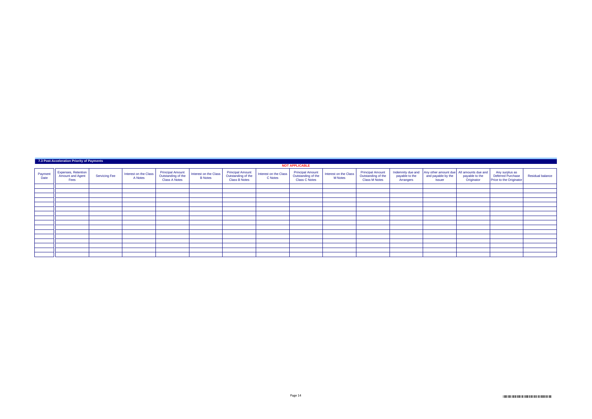|                 | 7.3 Post-Acceleration Priority of Payments             |                      |                                  |                                                                       |                                         |                                                                |                                  |                                                                       |                                         |                                                                       |                                                  |                                                                                 |                              |                                                                |                         |
|-----------------|--------------------------------------------------------|----------------------|----------------------------------|-----------------------------------------------------------------------|-----------------------------------------|----------------------------------------------------------------|----------------------------------|-----------------------------------------------------------------------|-----------------------------------------|-----------------------------------------------------------------------|--------------------------------------------------|---------------------------------------------------------------------------------|------------------------------|----------------------------------------------------------------|-------------------------|
|                 |                                                        |                      |                                  |                                                                       |                                         |                                                                |                                  | <b>NOT APPLICABLE</b>                                                 |                                         |                                                                       |                                                  |                                                                                 |                              |                                                                |                         |
| Payment<br>Date | Expenses, Retention<br><b>Amount and Agent</b><br>Fees | <b>Servicing Fee</b> | Interest on the Class<br>A Notes | <b>Principal Amount</b><br>Outstanding of the<br><b>Class A Notes</b> | Interest on the Class<br><b>B</b> Notes | Principal Amount<br>Outstanding of the<br><b>Class B Notes</b> | Interest on the Class<br>C Notes | <b>Principal Amount</b><br>Outstanding of the<br><b>Class C Notes</b> | Interest on the Class<br><b>M</b> Notes | <b>Principal Amount</b><br>Outstanding of the<br><b>Class M Notes</b> | Indemnity due and<br>payable to the<br>Arrangers | Any other amount due All amounts due and<br>and payable by the<br><b>Issuer</b> | payable to the<br>Originator | Any surplus as<br>Deferred Purchase<br>Price to the Originator | <b>Residual balance</b> |
|                 |                                                        |                      |                                  |                                                                       |                                         |                                                                |                                  |                                                                       |                                         |                                                                       |                                                  |                                                                                 |                              |                                                                |                         |
|                 |                                                        |                      |                                  |                                                                       |                                         |                                                                |                                  |                                                                       |                                         |                                                                       |                                                  |                                                                                 |                              |                                                                |                         |
|                 |                                                        |                      |                                  |                                                                       |                                         |                                                                |                                  |                                                                       |                                         |                                                                       |                                                  |                                                                                 |                              |                                                                |                         |
|                 |                                                        |                      |                                  |                                                                       |                                         |                                                                |                                  |                                                                       |                                         |                                                                       |                                                  |                                                                                 |                              |                                                                |                         |
|                 |                                                        |                      |                                  |                                                                       |                                         |                                                                |                                  |                                                                       |                                         |                                                                       |                                                  |                                                                                 |                              |                                                                |                         |
|                 |                                                        |                      |                                  |                                                                       |                                         |                                                                |                                  |                                                                       |                                         |                                                                       |                                                  |                                                                                 |                              |                                                                |                         |
|                 |                                                        |                      |                                  |                                                                       |                                         |                                                                |                                  |                                                                       |                                         |                                                                       |                                                  |                                                                                 |                              |                                                                |                         |
|                 |                                                        |                      |                                  |                                                                       |                                         |                                                                |                                  |                                                                       |                                         |                                                                       |                                                  |                                                                                 |                              |                                                                |                         |
|                 |                                                        |                      |                                  |                                                                       |                                         |                                                                |                                  |                                                                       |                                         |                                                                       |                                                  |                                                                                 |                              |                                                                |                         |
|                 |                                                        |                      |                                  |                                                                       |                                         |                                                                |                                  |                                                                       |                                         |                                                                       |                                                  |                                                                                 |                              |                                                                |                         |
|                 |                                                        |                      |                                  |                                                                       |                                         |                                                                |                                  |                                                                       |                                         |                                                                       |                                                  |                                                                                 |                              |                                                                |                         |
|                 |                                                        |                      |                                  |                                                                       |                                         |                                                                |                                  |                                                                       |                                         |                                                                       |                                                  |                                                                                 |                              |                                                                |                         |
|                 |                                                        |                      |                                  |                                                                       |                                         |                                                                |                                  |                                                                       |                                         |                                                                       |                                                  |                                                                                 |                              |                                                                |                         |
|                 |                                                        |                      |                                  |                                                                       |                                         |                                                                |                                  |                                                                       |                                         |                                                                       |                                                  |                                                                                 |                              |                                                                |                         |
|                 |                                                        |                      |                                  |                                                                       |                                         |                                                                |                                  |                                                                       |                                         |                                                                       |                                                  |                                                                                 |                              |                                                                |                         |
|                 |                                                        |                      |                                  |                                                                       |                                         |                                                                |                                  |                                                                       |                                         |                                                                       |                                                  |                                                                                 |                              |                                                                |                         |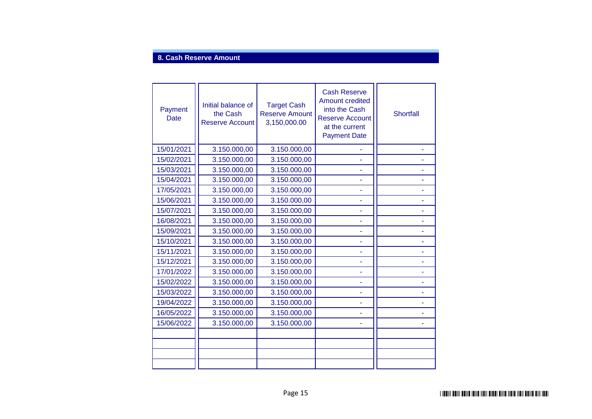## **8. Cash Reserve Amount**

| Payment<br>Date | Initial balance of<br>the Cash<br><b>Reserve Account</b> | <b>Target Cash</b><br><b>Reserve Amount</b><br>3,150,000.00 | <b>Cash Reserve</b><br><b>Amount credited</b><br>into the Cash<br><b>Reserve Account</b><br>at the current<br><b>Payment Date</b> | <b>Shortfall</b> |
|-----------------|----------------------------------------------------------|-------------------------------------------------------------|-----------------------------------------------------------------------------------------------------------------------------------|------------------|
| 15/01/2021      | 3.150.000,00                                             | 3.150.000,00                                                |                                                                                                                                   |                  |
| 15/02/2021      | 3.150.000,00                                             | 3.150.000,00                                                |                                                                                                                                   |                  |
| 15/03/2021      | 3.150.000,00                                             | 3.150.000,00                                                |                                                                                                                                   |                  |
| 15/04/2021      | 3.150.000,00                                             | 3.150.000,00                                                |                                                                                                                                   |                  |
| 17/05/2021      | 3.150.000,00                                             | 3.150.000,00                                                |                                                                                                                                   |                  |
| 15/06/2021      | 3.150.000,00                                             | 3.150.000,00                                                | ۰                                                                                                                                 |                  |
| 15/07/2021      | 3.150.000,00                                             | 3.150.000,00                                                |                                                                                                                                   |                  |
| 16/08/2021      | 3.150.000,00                                             | 3.150.000,00                                                |                                                                                                                                   |                  |
| 15/09/2021      | 3.150.000,00                                             | 3.150.000,00                                                | ۰                                                                                                                                 |                  |
| 15/10/2021      | 3.150.000,00                                             | 3.150.000,00                                                |                                                                                                                                   |                  |
| 15/11/2021      | 3.150.000,00                                             | 3.150.000,00                                                |                                                                                                                                   |                  |
| 15/12/2021      | 3.150.000,00                                             | 3.150.000,00                                                |                                                                                                                                   |                  |
| 17/01/2022      | 3.150.000,00                                             | 3.150.000,00                                                |                                                                                                                                   |                  |
| 15/02/2022      | 3.150.000,00                                             | 3.150.000,00                                                |                                                                                                                                   |                  |
| 15/03/2022      | 3.150.000,00                                             | 3.150.000,00                                                |                                                                                                                                   |                  |
| 19/04/2022      | 3.150.000,00                                             | 3.150.000,00                                                |                                                                                                                                   |                  |
| 16/05/2022      | 3.150.000,00                                             | 3.150.000,00                                                |                                                                                                                                   |                  |
| 15/06/2022      | 3.150.000,00                                             | 3.150.000,00                                                |                                                                                                                                   |                  |
|                 |                                                          |                                                             |                                                                                                                                   |                  |
|                 |                                                          |                                                             |                                                                                                                                   |                  |
|                 |                                                          |                                                             |                                                                                                                                   |                  |
|                 |                                                          |                                                             |                                                                                                                                   |                  |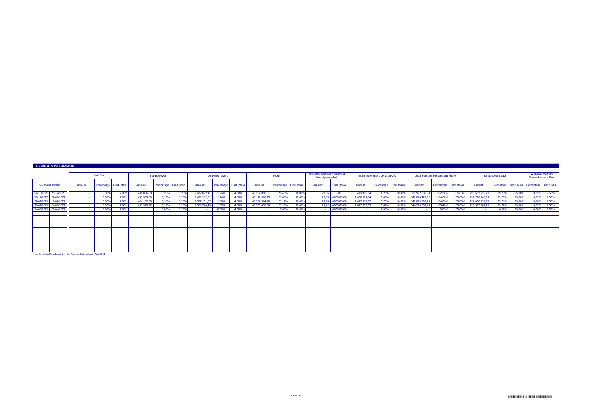|            | 9. Cumulative Portfolio Limits* |        |                  |                          |            |                     |                        |              |                         |                          |               |        |                        |                                                 |                 |               |                              |        |                                     |        |                        |                |                           |             |                                           |       |
|------------|---------------------------------|--------|------------------|--------------------------|------------|---------------------|------------------------|--------------|-------------------------|--------------------------|---------------|--------|------------------------|-------------------------------------------------|-----------------|---------------|------------------------------|--------|-------------------------------------|--------|------------------------|----------------|---------------------------|-------------|-------------------------------------------|-------|
|            |                                 |        | <b>Used Cars</b> |                          |            | <b>Top Borrower</b> |                        |              | <b>Top 10 Borrowers</b> |                          |               | South  |                        | Weighted Average Remaining<br>Maturity (months) |                 |               | Brand other than JLR and FCA |        | Legal Person ("Persone giuridiche") |        |                        |                | <b>Direct Debit Lease</b> |             | Weighted Average<br>Nominal Interest Rate |       |
|            | <b>Collection Period</b>        | Amount |                  | Percentage   Limit (Max) | Amount     |                     | Percentage Limit (Max) | Amount       |                         | Percentage   Limit (Max) | Amount        |        | Percentage Limit (Max) | Amount                                          | Limit (Max)     | Amount        | Percentage Limit (Max)       |        | Amount                              |        | Percentage Limit (Max) | Amount         | Percentage                | Limit (Min) | Percentage Limit (Min)                    |       |
|            | 24/10/2020 23/12/2020           |        | 0,00%            | 7,00%                    | 418,856.80 | 0.20%               | 1.25%                  | 2.672.092,41 | 1.26%                   | 4.00%                    | 43.264.050.01 | 20,40% | 30.00%                 | 28.85                                           | 48              | 413.892.54    | 0.20%                        | 10,00% | 131.922.685,38                      | 62.21% | 85,00%                 | 211.557.626,47 | 99.77%                    | 95,00%      | 3.82%                                     | 2,50% |
|            | 23/12/2020 22/01/2021           |        | 0.00%            | 7.00%                    | 411.533.00 | 0.19%               | 1.25%                  | 2.490.162.52 | 1.14%                   | 4.00%                    | 46.178.578.15 | 21.06% | 30.00%                 |                                                 | 28.85 4800.000% | 12.030.591.84 | 5.49%                        | 10,00% | 141.843.420.62                      | 64,69% | 85,00%                 | 218.766.646,91 | 99.77%                    | 95,00%      | 3.82%                                     | 2.50% |
|            | 22/01/2021 19/02/2021           |        | 0.00%            | 7.00%                    | 404.182.00 | 0.18%               | 1.25%                  | 2.377.131.57 | 1.09%                   | 4,00%                    | 46.266.564.20 | 21.12% | 30.00%                 |                                                 | 29,33 4800,000% | 12.622.917.12 | 5.76%                        | 10,00% | 141.629.796.79                      | 64,65% | 85,00%                 | 218.430.092,77 | 99.71%                    | 95,00%      | 3.80%                                     | 2.50% |
| 19/02/2021 | 24/03/2021                      |        | 0,00%            | 7.00%                    | 411.523,92 | 0.19%               | 1.25%                  | 2.358.744,43 | 1.07%                   | 4.00%                    | 46.759.458,50 | 21,23% | 30,00%                 |                                                 | 29,42 4800,000% | 12.817.639,35 | 5.82%                        | 10,00% | 144.243.033,40                      | 65,49% | 85,00%                 | 219.562.307,22 | 99.68%                    | 95,00%      | 3.77%                                     | 2,50% |
|            | 24/03/2021 23/04/2021           |        | 0,00%            | 7,00%                    | . .        | 0.00%               | 1.25%                  |              | 0.00%                   | 4.00%                    |               | 0.00%  | 30.00%                 |                                                 | 4800.000%       |               | 0.00%                        | 10,00% |                                     | 0.00%  | 85.00%                 |                | 0.00%                     | 95,00%      | 0.00%                                     | 2,50% |
|            |                                 |        |                  |                          |            |                     |                        |              |                         |                          |               |        |                        |                                                 |                 |               |                              |        |                                     |        |                        |                |                           |             |                                           |       |
|            |                                 |        |                  |                          |            |                     |                        |              |                         |                          |               |        |                        |                                                 |                 |               |                              |        |                                     |        |                        |                |                           |             |                                           |       |
|            |                                 |        |                  |                          |            |                     |                        |              |                         |                          |               |        |                        |                                                 |                 |               |                              |        |                                     |        |                        |                |                           |             |                                           |       |
|            |                                 |        |                  |                          |            |                     |                        |              |                         |                          |               |        |                        |                                                 |                 |               |                              |        |                                     |        |                        |                |                           |             |                                           |       |
|            |                                 |        |                  |                          |            |                     |                        |              |                         |                          |               |        |                        |                                                 |                 |               |                              |        |                                     |        |                        |                |                           |             |                                           |       |
|            |                                 |        |                  |                          |            |                     |                        |              |                         |                          |               |        |                        |                                                 |                 |               |                              |        |                                     |        |                        |                |                           |             |                                           |       |
|            |                                 |        |                  |                          |            |                     |                        |              |                         |                          |               |        |                        |                                                 |                 |               |                              |        |                                     |        |                        |                |                           |             |                                           |       |
|            |                                 |        |                  |                          |            |                     |                        |              |                         |                          |               |        |                        |                                                 |                 |               |                              |        |                                     |        |                        |                |                           |             |                                           |       |

 $\Box$ \* the Revolving Period ended on the Payment Date falling in April 2021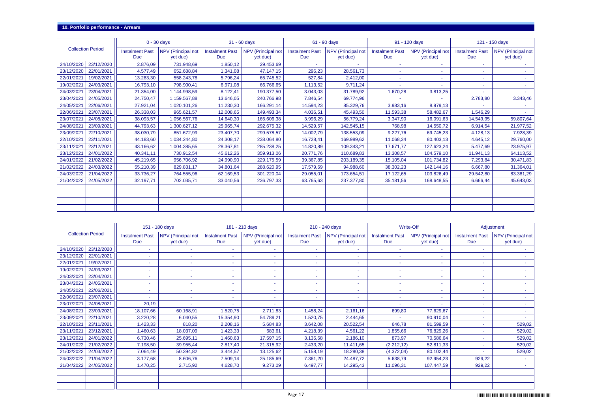### **10. Portfolio performance - Arrears**

|                          |            |                               | $0 - 30$ days                  |                               | 31 - 60 days                   |                               | 61 - 90 days                   |                               | 91 - 120 days                  |                               | 121 - 150 days                 |
|--------------------------|------------|-------------------------------|--------------------------------|-------------------------------|--------------------------------|-------------------------------|--------------------------------|-------------------------------|--------------------------------|-------------------------------|--------------------------------|
| <b>Collection Period</b> |            | <b>Instalment Past</b><br>Due | NPV (Principal not<br>yet due) | <b>Instalment Past</b><br>Due | NPV (Principal not<br>yet due) | <b>Instalment Past</b><br>Due | NPV (Principal not<br>yet due) | <b>Instalment Past</b><br>Due | NPV (Principal not<br>yet due) | <b>Instalment Past</b><br>Due | NPV (Principal not<br>yet due) |
| 24/10/2020               | 23/12/2020 | 2.876.09                      | 731.948.69                     | 1.850,12                      | 29.453,69                      |                               |                                |                               |                                |                               |                                |
| 23/12/2020               | 22/01/2021 | 4.577,49                      | 652.688,84                     | 1.341,08                      | 47.147,15                      | 296,23                        | 28.561,73                      |                               |                                |                               |                                |
| 22/01/2021               | 19/02/2021 | 13.283,30                     | 558.243,78                     | 5.796,24                      | 65.745,52                      | 527,84                        | 2.412,00                       |                               |                                |                               |                                |
| 19/02/2021               | 24/03/2021 | 16.793,10                     | 798.900,41                     | 6.971,08                      | 66.766,65                      | 1.113,52                      | 9.711,24                       |                               |                                |                               |                                |
| 24/03/2021               | 23/04/2021 | 21.354,00                     | 1.144.998,59                   | 8.122,41                      | 190.377,50                     | 3.043,03                      | 31.789,92                      | 1.670,28                      | 3.813,25                       |                               |                                |
| 23/04/2021               | 24/05/2021 | 24.750,47                     | 1.159.567,88                   | 13.646,05                     | 240.766,98                     | 7.846,54                      | 69.774,96                      |                               |                                | 2.783,80                      | 3.343,46                       |
| 24/05/2021               | 22/06/2021 | 27.921,04                     | 1.020.101,26                   | 11.230,30                     | 166.291,14                     | 14.594,23                     | 85.329,76                      | 3.983,16                      | 8.979,13                       |                               |                                |
| 22/06/2021               | 23/07/2021 | 26.338,03                     | 965.621,57                     | 12.008,65                     | 149.493,34                     | 4.036,51                      | 45.493,50                      | 11.593,38                     | 58.482,67                      | 1.546,29                      | $\sim$                         |
| 23/07/2021               | 24/08/2021 | 38.093,57                     | 1.056.567,76                   | 14.640,30                     | 165.606,38                     | 3.996,29                      | 56.779,24                      | 3.347,90                      | 16.091,63                      | 14.549,95                     | 59.807,64                      |
| 24/08/2021               | 23/09/2021 | 44.793,63                     | 1.300.627,12                   | 25.965,74                     | 292.675,32                     | 14.529,57                     | 142.545,15                     | 768,98                        | 14.550,72                      | 6.914,54                      | 21.977,52                      |
| 23/09/2021               | 22/10/2021 | 38.030,79                     | 851.672,99                     | 23.407,70                     | 299.578,57                     | 14.002,79                     | 138.553,09                     | 9.227,76                      | 69.745,23                      | 4.128,13                      | 7.928,39                       |
| 22/10/2021               | 23/11/2021 | 44.183,60                     | 1.034.244,80                   | 24.308,17                     | 238.064,80                     | 16.728,41                     | 169.989,62                     | 11.068,34                     | 80.403,13                      | 4.645,12                      | 29.760,00                      |
| 23/11/2021               | 23/12/2021 | 43.166,62                     | 1.004.385,65                   | 28.367,81                     | 285.238,25                     | 14.820,89                     | 109.343,21                     | 17.671,77                     | 127.623,24                     | 5.477,69                      | 23.975,97                      |
| 23/12/2021               | 24/01/2022 | 40.341,11                     | 730.912,54                     | 45.612,26                     | 359.913,06                     | 20.771,76                     | 110.689,83                     | 13.308,57                     | 104.579,10                     | 11.941,13                     | 64.113,52                      |
| 24/01/2022               | 21/02/2022 | 45.219,65                     | 956.706,92                     | 24.990,90                     | 229.175,59                     | 39.367,85                     | 203.189,35                     | 15.105,04                     | 101.734,82                     | 7.293,84                      | 30.471,83                      |
| 21/02/2022               | 24/03/2022 | 55.210,39                     | 829.831,17                     | 34.801,64                     | 288.620,95                     | 17.579,69                     | 94.988,60                      | 38.302,23                     | 142.144,16                     | 6.667,80                      | 31.364,01                      |
| 24/03/2022               | 21/04/2022 | 33.736,27                     | 764.555,96                     | 62.169,53                     | 301.220,04                     | 29.055,01                     | 173.654,51                     | 17.122,65                     | 103.826,49                     | 29.542,80                     | 83.381,29                      |
| 21/04/2022               | 24/05/2022 | 32.197,71                     | 702.035,71                     | 33.040,56                     | 236.797,33                     | 63.765,63                     | 237.377,80                     | 35.181,56                     | 168.648,55                     | 6.666,44                      | 45.643,03                      |
|                          |            |                               |                                |                               |                                |                               |                                |                               |                                |                               |                                |
|                          |            |                               |                                |                               |                                |                               |                                |                               |                                |                               |                                |
|                          |            |                               |                                |                               |                                |                               |                                |                               |                                |                               |                                |
|                          |            |                               |                                |                               |                                |                               |                                |                               |                                |                               |                                |

|                          |            |                               | 151 - 180 days                 |                               | 181 - 210 days                 |                               | 210 - 240 days                 |                               | Write-Off                             |                               | Adjustment                     |
|--------------------------|------------|-------------------------------|--------------------------------|-------------------------------|--------------------------------|-------------------------------|--------------------------------|-------------------------------|---------------------------------------|-------------------------------|--------------------------------|
| <b>Collection Period</b> |            | <b>Instalment Past</b><br>Due | NPV (Principal not<br>yet due) | <b>Instalment Past</b><br>Due | NPV (Principal not<br>yet due) | <b>Instalment Past</b><br>Due | NPV (Principal not<br>yet due) | <b>Instalment Past</b><br>Due | <b>NPV</b> (Principal not<br>yet due) | <b>Instalment Past</b><br>Due | NPV (Principal not<br>yet due) |
| 24/10/2020               | 23/12/2020 |                               |                                |                               |                                |                               |                                |                               | ٠                                     |                               |                                |
| 23/12/2020               | 22/01/2021 | ٠                             |                                |                               |                                | <b>.</b>                      |                                |                               |                                       |                               |                                |
| 22/01/2021               | 19/02/2021 | ٠                             |                                |                               |                                |                               |                                |                               |                                       |                               |                                |
| 19/02/2021               | 24/03/2021 | ٠                             | ٠                              |                               | $\sim$                         | $\overline{\phantom{a}}$      | $\sim$                         |                               | ۰.                                    |                               |                                |
| 24/03/2021               | 23/04/2021 | ٠                             | ٠                              | ٠                             |                                | $\sim$                        | $\sim$                         |                               |                                       |                               |                                |
| 23/04/2021               | 24/05/2021 | ٠                             | ۰.                             | ٠                             | ۰.                             |                               | $\sim$                         | $\sim$                        | ۰.                                    |                               | $\sim$                         |
| 24/05/2021               | 22/06/2021 | ٠                             | ٠                              | ٠                             | $\sim$                         | $\sim$                        | $\sim$                         |                               | ۰.                                    |                               | $\sim$                         |
| 22/06/2021               | 23/07/2021 | ٠                             | ٠                              | $\overline{\phantom{a}}$      | ۰.                             | $\sim$                        | $\sim$                         |                               | ۰.                                    |                               |                                |
| 23/07/2021               | 24/08/2021 | 20,19                         | ۰.                             | ٠                             | $\sim$                         | $\sim$                        | $\sim$                         |                               | ۰.                                    |                               | $\sim$                         |
| 24/08/2021               | 23/09/2021 | 18.107,66                     | 60.168,91                      | 1.520,75                      | 2.711,83                       | 1.458,24                      | 2.161,16                       | 699,80                        | 77.629,67                             |                               | $\sim$                         |
| 23/09/2021               | 22/10/2021 | 3.220,28                      | 6.040,55                       | 15.354,90                     | 54.789,21                      | 1.520,75                      | 2.444,65                       |                               | 90.910,04                             |                               | $\sim$                         |
| 22/10/2021               | 23/11/2021 | 1.423,33                      | 818,20                         | 2.208,16                      | 5.684,83                       | 3.642,08                      | 20.522,54                      | 646,78                        | 81.599,59                             |                               | 529,02                         |
| 23/11/2021               | 23/12/2021 | 1.460,63                      | 18.037,09                      | 1.423,33                      | 683,61                         | 4.218,39                      | 4.561,22                       | 1.855,66                      | 76.829,26                             |                               | 529,02                         |
| 23/12/2021               | 24/01/2022 | 6.730,46                      | 25.695,11                      | 1.460,63                      | 17.597,15                      | 3.135,68                      | 2.186,10                       | 873,97                        | 70.586,64                             |                               | 529,02                         |
| 24/01/2022               | 21/02/2022 | 7.198,50                      | 39.955,44                      | 2.817,40                      | 21.315,92                      | 2.433,20                      | 11.411,65                      | (2.212, 12)                   | 52.811,33                             |                               | 529,02                         |
| 21/02/2022               | 24/03/2022 | 7.064,49                      | 50.394,82                      | 3.444,57                      | 13.125,62                      | 5.158,19                      | 18.280,38                      | (4.372, 04)                   | 80.102,44                             |                               | 529,02                         |
| 24/03/2022               | 21/04/2022 | 3.177,68                      | 8.606,76                       | 7.509,14                      | 25.185,69                      | 7.361,20                      | 24.487,72                      | 5.638,79                      | 92.954,23                             | 929,22                        |                                |
| 21/04/2022               | 24/05/2022 | 1.470,25                      | 2.715,92                       | 4.628,70                      | 9.273,09                       | 6.497,77                      | 14.295,43                      | 11.096,31                     | 107.447,59                            | 929,22                        | <b>Section</b>                 |
|                          |            |                               |                                |                               |                                |                               |                                |                               |                                       |                               |                                |
|                          |            |                               |                                |                               |                                |                               |                                |                               |                                       |                               |                                |
|                          |            |                               |                                |                               |                                |                               |                                |                               |                                       |                               |                                |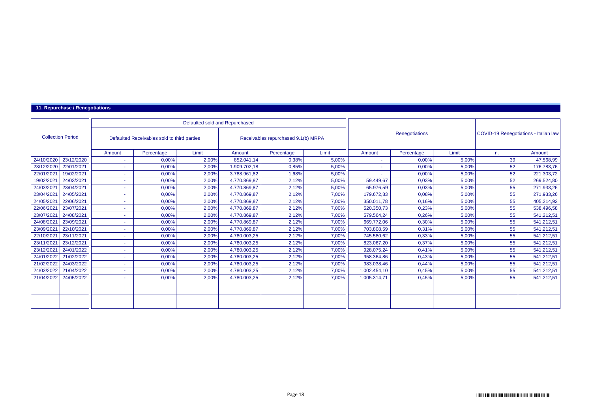### **11. Repurchase / Renegotiations**

|                          |            |        |                                             | Defaulted sold and Repurchased |              |                                     |       |              |                       |       |                                       |            |
|--------------------------|------------|--------|---------------------------------------------|--------------------------------|--------------|-------------------------------------|-------|--------------|-----------------------|-------|---------------------------------------|------------|
| <b>Collection Period</b> |            |        | Defaulted Receivables sold to third parties |                                |              | Receivables repurchased 9.1(b) MRPA |       |              | <b>Renegotiations</b> |       | COVID-19 Renegotiations - Italian law |            |
|                          |            | Amount | Percentage                                  | Limit                          | Amount       | Percentage                          | Limit | Amount       | Percentage            | Limit | n.                                    | Amount     |
| 24/10/2020               | 23/12/2020 | ÷.     | 0,00%                                       | 2,00%                          | 852.041.14   | 0,38%                               | 5,00% | ٠            | 0,00%                 | 5,00% | 39                                    | 47.568,99  |
| 23/12/2020               | 22/01/2021 | ٠      | 0,00%                                       | 2,00%                          | 1.909.702,18 | 0,85%                               | 5,00% | ٠            | 0,00%                 | 5,00% | 52                                    | 176.783,76 |
| 22/01/2021               | 19/02/2021 | $\sim$ | 0,00%                                       | 2,00%                          | 3.788.961,82 | 1,68%                               | 5,00% |              | 0,00%                 | 5,00% | 52                                    | 221.303,72 |
| 19/02/2021               | 24/03/2021 | ٠      | 0,00%                                       | 2,00%                          | 4.770.869,87 | 2,12%                               | 5,00% | 59.449,67    | 0,03%                 | 5,00% | 52                                    | 269.524,80 |
| 24/03/2021               | 23/04/2021 | ٠      | 0,00%                                       | 2,00%                          | 4.770.869,87 | 2,12%                               | 5,00% | 65.976,59    | 0,03%                 | 5,00% | 55                                    | 271.933,26 |
| 23/04/2021               | 24/05/2021 | ۰      | 0,00%                                       | 2,00%                          | 4.770.869,87 | 2,12%                               | 7,00% | 179.672,83   | 0,08%                 | 5,00% | 55                                    | 271.933,26 |
| 24/05/2021               | 22/06/2021 | $\sim$ | 0,00%                                       | 2,00%                          | 4.770.869,87 | 2,12%                               | 7,00% | 350.011,78   | 0,16%                 | 5,00% | 55                                    | 405.214,92 |
| 22/06/2021               | 23/07/2021 | ٠      | 0,00%                                       | 2,00%                          | 4.770.869.87 | 2,12%                               | 7,00% | 520.350,73   | 0,23%                 | 5,00% | 55                                    | 538.496,58 |
| 23/07/2021               | 24/08/2021 | ٠      | 0,00%                                       | 2,00%                          | 4.770.869,87 | 2,12%                               | 7,00% | 579.564,24   | 0,26%                 | 5,00% | 55                                    | 541.212,51 |
| 24/08/2021               | 23/09/2021 | $\sim$ | 0,00%                                       | 2,00%                          | 4.770.869,87 | 2,12%                               | 7,00% | 669.772,06   | 0,30%                 | 5,00% | 55                                    | 541.212,51 |
| 23/09/2021               | 22/10/2021 | ٠      | 0,00%                                       | 2,00%                          | 4.770.869,87 | 2,12%                               | 7,00% | 703.808,59   | 0,31%                 | 5,00% | 55                                    | 541.212,51 |
| 22/10/2021               | 23/11/2021 | ٠      | 0,00%                                       | 2,00%                          | 4.780.003,25 | 2,12%                               | 7,00% | 745.580,62   | 0,33%                 | 5,00% | 55                                    | 541.212,51 |
| 23/11/2021               | 23/12/2021 | ۰      | 0,00%                                       | 2,00%                          | 4.780.003,25 | 2,12%                               | 7,00% | 823.067,20   | 0,37%                 | 5,00% | 55                                    | 541.212,51 |
| 23/12/2021               | 24/01/2022 | ٠      | 0,00%                                       | 2,00%                          | 4.780.003,25 | 2,12%                               | 7,00% | 928.075,24   | 0.41%                 | 5,00% | 55                                    | 541.212,51 |
| 24/01/2022               | 21/02/2022 | ٠      | 0,00%                                       | 2,00%                          | 4.780.003,25 | 2,12%                               | 7,00% | 958.364,86   | 0,43%                 | 5,00% | 55                                    | 541.212,51 |
| 21/02/2022               | 24/03/2022 | ٠      | 0,00%                                       | 2,00%                          | 4.780.003,25 | 2,12%                               | 7,00% | 983.038.46   | 0.44%                 | 5,00% | 55                                    | 541.212,51 |
| 24/03/2022               | 21/04/2022 | ٠      | 0,00%                                       | 2,00%                          | 4.780.003,25 | 2,12%                               | 7,00% | 1.002.454,10 | 0,45%                 | 5,00% | 55                                    | 541.212,51 |
| 21/04/2022               | 24/05/2022 | ٠      | 0,00%                                       | 2,00%                          | 4.780.003,25 | 2,12%                               | 7,00% | 1.005.314,71 | 0.45%                 | 5,00% | 55                                    | 541.212,51 |
|                          |            |        |                                             |                                |              |                                     |       |              |                       |       |                                       |            |
|                          |            |        |                                             |                                |              |                                     |       |              |                       |       |                                       |            |
|                          |            |        |                                             |                                |              |                                     |       |              |                       |       |                                       |            |
|                          |            |        |                                             |                                |              |                                     |       |              |                       |       |                                       |            |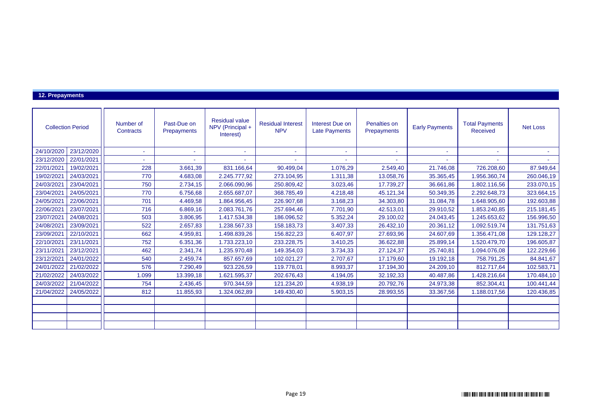### **12. Prepayments**

| <b>Collection Period</b> |            | Number of<br>Contracts | Past-Due on<br>Prepayments | <b>Residual value</b><br>NPV (Principal +<br>Interest) | <b>Residual Interest</b><br><b>NPV</b> | Interest Due on<br><b>Late Payments</b> | Penalties on<br>Prepayments | <b>Early Payments</b> | <b>Total Payments</b><br><b>Received</b> | <b>Net Loss</b> |
|--------------------------|------------|------------------------|----------------------------|--------------------------------------------------------|----------------------------------------|-----------------------------------------|-----------------------------|-----------------------|------------------------------------------|-----------------|
| 24/10/2020               | 23/12/2020 |                        |                            |                                                        | $\blacksquare$                         | ٠                                       |                             |                       |                                          |                 |
| 23/12/2020               | 22/01/2021 |                        |                            |                                                        |                                        |                                         |                             |                       |                                          |                 |
| 22/01/2021               | 19/02/2021 | 228                    | 3.661,39                   | 831.166,64                                             | 90.499,04                              | 1.076,29                                | 2.549,40                    | 21.746,08             | 726.208,60                               | 87.949,64       |
| 19/02/2021               | 24/03/2021 | 770                    | 4.683,08                   | 2.245.777,92                                           | 273.104,95                             | 1.311,38                                | 13.058,76                   | 35.365,45             | 1.956.360,74                             | 260.046,19      |
| 24/03/2021               | 23/04/2021 | 750                    | 2.734,15                   | 2.066.090,96                                           | 250.809,42                             | 3.023,46                                | 17.739,27                   | 36.661,86             | 1.802.116,56                             | 233.070,15      |
| 23/04/2021               | 24/05/2021 | 770                    | 6.756,68                   | 2.655.687,07                                           | 368.785,49                             | 4.218,48                                | 45.121,34                   | 50.349,35             | 2.292.648,73                             | 323.664,15      |
| 24/05/2021               | 22/06/2021 | 701                    | 4.469,58                   | 1.864.956,45                                           | 226.907,68                             | 3.168,23                                | 34.303,80                   | 31.084,78             | 1.648.905,60                             | 192.603,88      |
| 22/06/2021               | 23/07/2021 | 716                    | 6.869,16                   | 2.083.761,76                                           | 257.694,46                             | 7.701,90                                | 42.513,01                   | 29.910.52             | 1.853.240,85                             | 215.181,45      |
| 23/07/2021               | 24/08/2021 | 503                    | 3.806,95                   | 1.417.534,38                                           | 186.096,52                             | 5.352,24                                | 29.100,02                   | 24.043,45             | 1.245.653,62                             | 156.996,50      |
| 24/08/2021               | 23/09/2021 | 522                    | 2.657,83                   | 1.238.567,33                                           | 158.183,73                             | 3.407,33                                | 26.432,10                   | 20.361,12             | 1.092.519,74                             | 131.751,63      |
| 23/09/2021               | 22/10/2021 | 662                    | 4.959,81                   | 1.498.839,26                                           | 156.822,23                             | 6.407,97                                | 27.693,96                   | 24.607,69             | 1.356.471,08                             | 129.128,27      |
| 22/10/2021               | 23/11/2021 | 752                    | 6.351,36                   | 1.733.223,10                                           | 233.228,75                             | 3.410,25                                | 36.622,88                   | 25.899,14             | 1.520.479,70                             | 196.605,87      |
| 23/11/2021               | 23/12/2021 | 462                    | 2.341,74                   | 1.235.970,48                                           | 149.354,03                             | 3.734,33                                | 27.124,37                   | 25.740,81             | 1.094.076,08                             | 122.229,66      |
| 23/12/2021               | 24/01/2022 | 540                    | 2.459,74                   | 857.657,69                                             | 102.021,27                             | 2.707,67                                | 17.179,60                   | 19.192,18             | 758.791,25                               | 84.841,67       |
| 24/01/2022               | 21/02/2022 | 576                    | 7.290,49                   | 923.226,59                                             | 119.778,01                             | 8.993,37                                | 17.194,30                   | 24.209,10             | 812.717,64                               | 102.583,71      |
| 21/02/2022               | 24/03/2022 | 1.099                  | 13.399,18                  | 1.621.595,37                                           | 202.676,43                             | 4.194,05                                | 32.192,33                   | 40.487,86             | 1.428.216,64                             | 170.484,10      |
| 24/03/2022               | 21/04/2022 | 754                    | 2.436,45                   | 970.344,59                                             | 121.234,20                             | 4.938,19                                | 20.792,76                   | 24.973,38             | 852.304,41                               | 100.441,44      |
| 21/04/2022               | 24/05/2022 | 812                    | 11.855,93                  | 1.324.062,89                                           | 149.430,40                             | 5.903,15                                | 28.993,55                   | 33.367,56             | 1.188.017,56                             | 120.436,85      |
|                          |            |                        |                            |                                                        |                                        |                                         |                             |                       |                                          |                 |
|                          |            |                        |                            |                                                        |                                        |                                         |                             |                       |                                          |                 |
|                          |            |                        |                            |                                                        |                                        |                                         |                             |                       |                                          |                 |
|                          |            |                        |                            |                                                        |                                        |                                         |                             |                       |                                          |                 |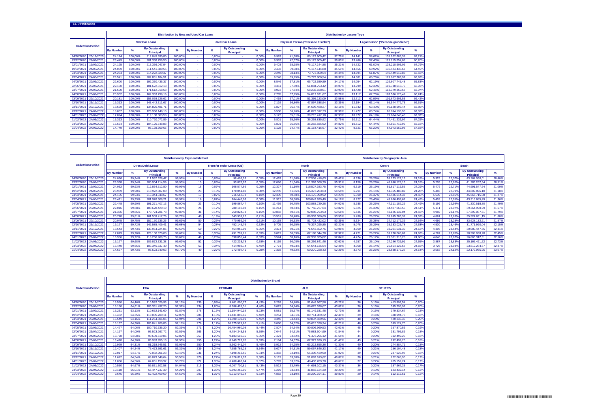|  | <b>13. Stratification</b> |  |
|--|---------------------------|--|
|  |                           |  |

|            |                          |                  |         |                                           |         | <b>Distribution by New and Used Car Loans</b> |               |                                           |       |                  |        |                                            |        | <b>Distribution by Lessee Type</b> |               |                                            |        |
|------------|--------------------------|------------------|---------|-------------------------------------------|---------|-----------------------------------------------|---------------|-------------------------------------------|-------|------------------|--------|--------------------------------------------|--------|------------------------------------|---------------|--------------------------------------------|--------|
|            | <b>Collection Period</b> |                  |         | <b>New Car Loans</b>                      |         |                                               |               | <b>Used Car Loans</b>                     |       |                  |        | <b>Physical Person ("Persone Fisiche")</b> |        |                                    |               | <b>Legal Person ("Persone giuridiche")</b> |        |
|            |                          | <b>By Number</b> | ℅       | <b>By Outstanding</b><br><b>Principal</b> | %       | <b>By Number</b>                              | $\frac{9}{6}$ | <b>By Outstanding</b><br><b>Principal</b> | %     | <b>By Number</b> | %      | <b>By Outstanding</b><br><b>Principal</b>  | %      | <b>By Number</b>                   | $\frac{9}{6}$ | <b>By Outstanding</b><br><b>Principal</b>  | %      |
| 24/10/2020 | 23/12/2020               | 24.124           | 100.00% | 212.045.590,80                            | 100.00% | ×.                                            | 0.00%         |                                           | 0.00% | 9.983            | 41.38% | 80.122.905.42                              | 37.79% | 14.141                             | 58.62%        | 131.922.685.38                             | 62,21% |
| 23/12/2020 | 22/01/2021               | 23.449           | 100.00% | 201.338.759.50                            | 100.00% |                                               | 0.00%         |                                           | 0.00% | 9.983            | 42.57% | 80.122.905.42                              | 39.80% | 13,466                             | 57.43%        | 121.215.854.08                             | 60.20% |
| 22/01/2021 | 19/02/2021               | 24.125           | 100.00% | 213.336.047.94                            | 100.00% | ×.                                            | 0.00%         |                                           | 0.00% | 9.403            | 38.98% | 75.117.144.88                              | 35.21% | 14.722                             | 61.02%        | 138.218.903.06                             | 64.79% |
| 19/02/2021 | 24/03/2021               | 24.059           | 100.00% | 211.541.580.55                            | 100.00% | ×.                                            | 0.00%         |                                           | 0.00% | 9.403            | 39.08% | 75.117.144.88                              | 35.51% | 14.656                             | 60.92%        | 136.424.435.67                             | 64.49% |
| 24/03/2021 | 23/04/2021               | 24.234           | 100.00% | 214.222.820.37                            | 100.00% |                                               | 0.00%         |                                           | 0.00% | 9.240            | 38.13% | 73,773,800.54                              | 34.44% | 14.994                             | 61.87%        | 140.449.019.83                             | 65,56% |
| 23/04/2021 | 24/05/2021               | 23.541           | 100.00% | 202.831.184.51                            | 100.00% | ×.                                            | 0.00%         |                                           | 0.00% | 9.240            | 39.25% | 73,773,800.54                              | 36.37% | 14.301                             | 60.75%        | 129.057.383.97                             | 63,63% |
| 24/05/2021 | 22/06/2021               | 22,600           | 100.00% | 192.330.435,37                            | 100.00% | ×.                                            | 0.00%         |                                           | 0.00% | 8.546            | 37.81% | 65.722.689.89                              | 34.17% | 14.054                             | 62.19%        | 126,607,745.48                             | 65.83% |
| 22/06/2021 | 23/07/2021               | 22.150           | 100.00% | 181.622.812.18                            | 100.00% | ×.                                            | 0.00%         |                                           | 0.00% | 8.351            | 37.70% | 61.884.793.42                              | 34.07% | 13,799                             | 62.30%        | 119,738,018.76                             | 65.93% |
| 23/07/2021 | 24/08/2021               | 21.500           | 100.00% | 171.612.018.58                            | 100.00% | ×.                                            | 0.00%         |                                           | 0.00% | 8.072            | 37.54% | 58.232.658.01                              | 33.93% | 13.428                             | 62.46%        | 113,379,360.57                             | 66.07% |
| 24/08/2021 | 23/09/2021               | 20.902           | 100.00% | 162.353.798.16                            | 100.00% |                                               | 0.00%         |                                           | 0.00% | 7.785            | 37.25% | 54.817.671.67                              | 33.76% | 13.117                             | 62.75%        | 107.536.126.49                             | 66.24% |
| 23/09/2021 | 22/10/2021               | 20.181           | 100.00% | 153.068.726.62                            | 100.00% | ×.                                            | 0.00%         |                                           | 0.00% | 7.468            | 37.01% | 51.395.123.09                              | 33.58% | 12.713                             | 62.99%        | 101.673.603.53                             | 66.42% |
| 22/10/2021 | 23/11/2021               | 19.313           | 100.00% | 143.442.311.67                            | 100.00% | ×.                                            | 0.00%         |                                           | 0.00% | 7.119            | 36.86% | 47.897.538.94                              | 33.39% | 12.194                             | 63.14%        | 95.544.772.73                              | 66.61% |
| 23/11/2021 | 23/12/2021               | 18,669           | 100.00% | 134.825.481.71                            | 100.00% |                                               | 0.00%         |                                           | 0.00% | 6.827            | 36.57% | 44.696.488.27                              | 33.15% | 11.842                             | 63.43%        | 90.128.993.44                              | 66,85% |
| 23/12/2021 | 24/01/2022               | 18,007           | 100.00% | 126.966.148.13                            | 100.00% |                                               | 0.00%         |                                           | 0.00% | 6,530            | 36.26% | 41.872.012.23                              | 32.98% | 11,477                             | 63.74%        | 85.094.135.90                              | 67.02% |
| 24/01/2022 | 21/02/2022               | 17.094           | 100.00% | 119.100.063.58                            | 100.00% | ×.                                            | 0.00%         |                                           | 0.00% | 6.122            | 35.81% | 39.215.417.18                              | 32.93% | 10.972                             | 64.19%        | 79.884.646.40                              | 67.07% |
| 21/02/2022 | 24/03/2022               | 16.313           | 100.00% | 110.720.072.89                            | 100.00% |                                               | 0.00%         |                                           | 0.00% | 5.801            | 35.56% | 36.258.835.92                              | 32.75% | 10.512                             | 64.44%        | 74.461.236.97                              | 67,25% |
| 24/03/2022 | 21/04/2022               | 15.564           | 100.00% | 104.120.548.88                            | 100.00% |                                               | 0.00%         |                                           | 0.00% | 5.801            | 35.56% | 36.258.835.92                              | 34.82% | 10.512                             | 64.44%        | 67.861.712,96                              | 65.18% |
| 21/04/2022 | 24/05/2022               | 14.749           | 100,00% | 96.138.369.65                             | 100.00% |                                               | 0.00%         |                                           | 0.00% | 5.128            | 34.77% | 31.164.416.67                              | 32.42% | 9.621                              | 65.23%        | 64.973.952.98                              | 67.58% |
|            |                          |                  |         |                                           |         |                                               |               |                                           |       |                  |        |                                            |        |                                    |               |                                            |        |
|            |                          |                  |         |                                           |         |                                               |               |                                           |       |                  |        |                                            |        |                                    |               |                                            |        |
|            |                          |                  |         |                                           |         |                                               |               |                                           |       |                  |        |                                            |        |                                    |               |                                            |        |
|            |                          |                  |         |                                           |         |                                               |               |                                           |       |                  |        |                                            |        |                                    |               |                                            |        |

|                          |            |                  |        |                                    |               | <b>Distribution by Payment Method</b> |                  |                                    |       |                  |               |                                    |        |                  |        | <b>Distribution by Geographic Area</b>    |               |                  |        |                                           |        |
|--------------------------|------------|------------------|--------|------------------------------------|---------------|---------------------------------------|------------------|------------------------------------|-------|------------------|---------------|------------------------------------|--------|------------------|--------|-------------------------------------------|---------------|------------------|--------|-------------------------------------------|--------|
| <b>Collection Period</b> |            |                  |        | <b>Direct Debit Lease</b>          |               |                                       |                  | <b>Transfer order Lease (OB)</b>   |       |                  |               | <b>North</b>                       |        |                  |        | <b>Centre</b>                             |               |                  |        | South                                     |        |
|                          |            | <b>By Number</b> |        | <b>By Outstanding</b><br>Principal | $\frac{9}{6}$ | <b>By Number</b>                      | $\mathbf{e}_{k}$ | <b>By Outstanding</b><br>Principal | %     | <b>By Number</b> | $\frac{Q}{2}$ | <b>By Outstanding</b><br>Principal |        | <b>By Number</b> |        | <b>By Outstanding</b><br><b>Principal</b> | $\frac{9}{6}$ | <b>By Number</b> | $\%$   | <b>By Outstanding</b><br><b>Principal</b> | ℅      |
| 24/10/2020               | 23/12/2020 | 24.036           | 99.94% | 211.557.626.47                     | 99.95%        | 14                                    | 0.06%            | 98,405.26                          | 0.05% | 12,463           | 51.66%        | 117,508,418.63                     | 55.42% | 6.336            | 26.26% | 51.273.122.16                             | 24.18%        | 5.325            | 22.07% | 43.264.050.01                             | 20,40% |
| 23/12/2020               | 22/01/2021 | 23.368           | 99.94% | 200.904.214.59                     | 99.95%        | 13                                    | 0.06%            | 90.876.97                          | 0.05% | 12.086           | 51.54%        | 111.363.368.70                     | 55.31% | 6.158            | 26.26% | 48.690.128.16                             | 24.18%        | 5.205            | 22.20% | 41.285.262.64                             | 20,51% |
| 22/01/2021               | 19/02/2021 | 24.032           | 99.93% | 212.834.512.80                     | 99.95%        | 16                                    | 0.07%            | 108,574.66                         | 0.05% | 12.327           | 51.10%        | 116,527,383.75                     | 54.62% | 6.319            | 26.19% | 51.817.116.55                             | 24.29%        | 5.479            | 22.71% | 44.991.547.64                             | 21,09% |
| 19/02/2021               | 24/03/2021 | 23.959           | 99.90% | 210.922.307.00                     | 99.92%        | 23                                    | 0.10%            | 170.051.80                         | 0.08% | 12.285           | 51.06%        | 115.373.203.63                     | 54.54% | 6.291            | 26.15% | 51.365.480.82                             | 24.28%        | 5.483            | 22.79% | 44.802.896.10                             | 21,18% |
| 24/03/2021               | 23/04/2021 | 24.105           | 99.93% | 213.344.048.67                     | 99.90%        | 17                                    | 0.07%            | 216,567.73                         | 0.10% | 12.305           | 50.78%        | 116.170.090.92                     | 54.23% | 6.390            | 26.37% | 52.486.014.37                             | 24.50%        | 5.539            | 22.86% | 45,566,715.08                             | 21,27% |
| 23/04/2021               | 24/05/2021 | 23.411           | 99.93% | 201.976.308.21                     | 99.92%        | 16                                    | 0.07%            | 164,446.03                         | 0.08% | 11.912           | 50.60%        | 109.847.999.40                     | 54.16% | 6.227            | 26.45% | 49.666.499.62                             | 24.49%        | 5.402            | 22.95% | 43.316.685.49                             | 21,36% |
| 24/05/2021               | 22/06/2021 | 22.448           | 99.90% | 191.271.407.13                     | 99.90%        | 23                                    | 0.10%            | 199,867.47                         | 0.10% | 11,469           | 50.75%        | 103.888.729.28                     | 54.02% | 5.935            | 26.26% | 47.111.187.29                             | 24.49%        | 5.196            | 22.99% | 41.330.518.80                             | 21,49% |
| 22/06/2021               | 23/07/2021 | 22.016           | 99,88% | 180.628.420.19                     | 99,85%        | 26                                    | 0,12%            | 280.110.03                         | 0.15% | 11.214           | 50,63%        | 97.750.757.64                      | 53.82% | 5.825            | 26,30% | 44.507.063.55                             | 24,51%        | 5.111            | 23,07% | 39.364.990.99                             | 21,67% |
| 23/07/2021               | 24/08/2021 | 21.366           | 99.86% | 170.724.781.78                     | 99.85%        | 31                                    | 0.14%            | 260.824.73                         | 0.15% | 10.882           | 50.61%        | 92.086.793.93                      | 53.66% | 5.636            | 26.21% | 42.126.137.04                             | 24.55%        | 4.982            | 23.17% | 37,399,087.61                             | 21,79% |
| 24/08/2021               | 23/09/2021 | 20.770           | 99.81% | 161.509.417.76                     | 99.79%        | 40                                    | 0.19%            | 343.931.22                         | 0.21% | 10.551           | 50.48%        | 86.933.380.69                      | 53.55% | 5.490            | 26,27% | 39.895.786.32                             | 24.57%        | 4.861            | 23,26% | 35.524.631.15                             | 21,88% |
| 23/09/2021               | 22/10/2021 | 20.045           | 99.75% | 152.150.635.25                     | 99.69%        | 50                                    | 0.25%            | 470,956.09                         | 0.31% | 10.158           | 50.33%        | 81.728.422.02                      | 53.39% | 5.324            | 26.38% | 37.712.172.39                             | 24.64%        | 4.699            | 23.28% | 33.628.132.21                             | 21,97% |
| 22/10/2021               | 23/11/2021 | 19.177           | 99.729 | 142.585.409.41                     | 99.68%        | 54                                    | 0.28%            | 452.145.76                         | 0.32% | 9.705            | 50.25%        | 76.337.295.85                      | 53.22% | 5.078            | 26.29% | 35.333.025.78                             | 24.63%        | 4.530            | 23.46% | 31.771.990.04                             | 22,15% |
| 23/11/2021               | 23/12/2021 | 18.543           | 99.73% | 133.964.224.86                     | 99.65%        | 50                                    | 0.27%            | 464,055.09                         | 0.35% | 9.374            | 50.21%        | 71.543.502.76                      | 53.06% | 4.900            | 26.25% | 33.201.531.30                             | 24.63%        | 4.395            | 23.54% | 30.080.447.65                             | 22,31% |
| 23/12/2021               | 24/01/2022 | 17,879           | 99.70% | 126.100.370.00                     | 99.61%        | 54                                    | 0.30%            | 491.799.25                         | 0.39% | 9.019            | 50.09%        | 67.188.044.78                      | 52.92% | 4.721            | 26.22% | 31.270.065.07                             | 24.63%        | 4.267            | 23.70% | 28,508,038.28                             | 22,45% |
| 24/01/2022               | 21/02/2022 | 16,956           | 99.72% | 118.266.969.75                     | 99.67%        | 48                                    | 0.28%            | 390.055.44                         | 0.33% | 8.574            | 50.16%        | 62.932.835.02                      | 52.84% | 4.474            | 26.17% | 29.301.916.25                             | 24.60%        | 4.046            | 23.67% | 26.865.312.31                             | 22,56% |
| 21/02/2022               | 24/03/2022 | 16.177           | 99.68% | 109.872.331.38                     | 99.62%        | 52                                    | 0.32%            | 423,233,73                         | 0.38% | 8.169            | 50.08%        | 58.256.841.46                      | 52.62% | 4.257            | 26.10% | 27.296.739.91                             | 24.65%        | 3,887            | 23.83% | 25.166.491.52                             | 22,73% |
| 24/03/2022               | 21/04/2022 | 15,440           | 99.66% | 103.346.637.40                     | 99.60%        | 53                                    | 0.34%            | 414,998.74                         | 0.40% | 7.771            | 49.93%        | 54.644.136.54                      | 52.48% | 4.068            | 26.149 | 25.664.127.67                             | 24.65%        | 3.725            | 23.93% | 23.812.284.67                             | 22.87% |
| 21/04/2022               | 24/05/2022 | 14.637           | 99.73% | 95.523.640.03                      | 99.72%        | 40                                    | 0.27%            | 272,497.41                         | 0.28% | 7.318            | 49.62%        | 50.270.228.43                      | 52.29% | 3.873            | 26.26% | 23.688.175.27                             | 24.64%        | 3.558            | 24.12% | 22.179.965.95                             | 23.07% |
|                          |            |                  |        |                                    |               |                                       |                  |                                    |       |                  |               |                                    |        |                  |        |                                           |               |                  |        |                                           |        |
|                          |            |                  |        |                                    |               |                                       |                  |                                    |       |                  |               |                                    |        |                  |        |                                           |               |                  |        |                                           |        |
|                          |            |                  |        |                                    |               |                                       |                  |                                    |       |                  |               |                                    |        |                  |        |                                           |               |                  |        |                                           |        |
|                          |            |                  |        |                                    |               |                                       |                  |                                    |       |                  |               |                                    |        |                  |        |                                           |               |                  |        |                                           |        |

|            |                          |                  |        |                                           |        |                  |       |                                           |       | <b>Distribution by Brand</b> |               |                                           |        |                  |               |                                    |       |
|------------|--------------------------|------------------|--------|-------------------------------------------|--------|------------------|-------|-------------------------------------------|-------|------------------------------|---------------|-------------------------------------------|--------|------------------|---------------|------------------------------------|-------|
|            | <b>Collection Period</b> |                  |        | <b>FCA</b>                                |        |                  |       | <b>FERRARI</b>                            |       |                              |               | <b>JLR</b>                                |        |                  |               | <b>OTHERS</b>                      |       |
|            |                          | <b>By Number</b> | %      | <b>By Outstanding</b><br><b>Principal</b> | %      | <b>By Number</b> | %     | <b>By Outstanding</b><br><b>Principal</b> | %     | <b>By Number</b>             | $\frac{9}{6}$ | <b>By Outstanding</b><br><b>Principal</b> | $\%$   | <b>By Number</b> | $\frac{9}{6}$ | <b>By Outstanding</b><br>Principal | %     |
| 24/10/2020 | 23/12/2020               | 15,550           | 64.46% | 110.582.029.93                            | 52.15% | 239              | 0.99% | 9.401.000.77                              | 4.43% | 8.299                        | 34.40%        | 91.648.667.56                             | 43.22% | 36               | 0.15%         | 413.892.54                         | 0.20% |
| 23/12/2020 | 22/01/2021               | 15.150           | 64.61% | 105.331.497.20                            | 52.32% | 234              | 1.00% | 8.986.428.31                              | 4.46% | 8.029                        | 34.24%        | 86.625.538.07                             | 43.02% | 36               | 0.15%         | 395.295.92                         | 0,20% |
| 22/01/202  | 19/02/2021               | 15.231           | 63.13% | 110.652.141.60                            | 51.87% | 278              | 1.15% | 11.154.940.19                             | 5.23% | 8.581                        | 35.57%        | 91.149.631.48                             | 42.73% | 35               | 0.15%         | 379.334.67                         | 0.18% |
| 19/02/202  | 24/03/2021               | 15.482           | 64.35% | 110.005.700.11                            | 52.00% | 284              | 1.18% | 11.431.896.46                             | 5.40% | 8.254                        | 34.31%        | 89.714.989.22                             | 42.41% | 39               | 0.16%         | 388,994.76                         | 0.18% |
| 24/03/202  | 23/04/2021               | 15.549           | 64.16% | 111.264.506.05                            | 51.94% | 291              | 1.20% | 11.700.139.01                             | 5.46% | 8.346                        | 34.44%        | 90.837.839.96                             | 42.40% | 48               | 0.20%         | 420.335.35                         | 0.20% |
| 23/04/202  | 24/05/2021               | 15.137           | 64.30% | 105.841.209.85                            | 52.18% | 276              | 1.17% | 10.975.521.62                             | 5.41% | 8.080                        | 34.32%        | 85.615.328.34                             | 42.21% | 48               | 0.20%         | 399.124.70                         | 0.20% |
| 24/05/2021 | 22/06/2021               | 14.477           | 64.06% | 100.710.635.20                            | 52.36% | 271              | 1.20% | 10.454.960.08                             | 5.44% | 7.807                        | 34.54%        | 80.806.969.53                             | 42.01% | 45               | 0.20%         | 357.870.56                         | 0,19% |
| 22/06/2021 | 23/07/2021               | 14.197           | 64.09% | 95.523.267.72                             | 52.59% | 265              | 1.20% | 9.784.243.58                              | 5.39% | 7.644                        | 34.51%        | 75.983.504.99                             | 41.84% | 44               | 0.20%         | 331.795.89                         | 0.18% |
| 23/07/2021 | 24/08/2021               | 13.778           | 64.08% | 90.639.619.86                             | 52.82% | 257              | 1.20% | 9.183.610.35                              | 5.35% | 7.421                        | 34.52%        | 71.476.296.12                             | 41.65% | 44               | 0.20%         | 312.492.25                         | 0,18% |
| 24/08/2021 | 23/09/2021               | 13,420           | 64.20% | 85.983.955.13                             | 52.96% | 255              | 1.22% | 8.749.723.70                              | 5.39% | 7.184                        | 34.37%        | 67.327.620.13                             | 41.47% | 43               | 0.21%         | 292.499.20                         | 0.18% |
| 23/09/2021 | 22/10/2021               | 12.979           | 64.31% | 81.218.545.51                             | 53.06% | 250              | 1.24% | 8.362.441.04                              | 5.46% | 6.912                        | 34.25%        | 63.212.855.36                             | 41.30% | 40               | 0.20%         | 274.884.71                         | 0.18% |
| 22/10/2021 | 23/11/2021               | 12,407           | 64.24% | 76.472.591.61                             | 53.31% | 239              | 1.24% | 7.655.769.25                              | 5.34% | 6.627                        | 34.31%        | 59.057.846.33                             | 41.17% | 40               | 0.21%         | 256.104.48                         | 0.18% |
| 23/11/2021 | 23/12/2021               | 12.017           | 64.37% | 72.082.901.28                             | 53.46% | 231              | 1.24% | 7.198.213.56                              | 5.34% | 6.382                        | 34.19%        | 55,306,439.90                             | 41.02% | 39               | 0.21%         | 237.926.97                         | 0.18% |
| 23/12/2021 | 24/01/2022               | 11.622           | 64.54% | 68.029.648.64                             | 53.58% | 228              | 1.27% | 6.826.819.97                              | 5.38% | 6.119                        | 33.98%        | 51.887.613.62                             | 40.87% | 38               | 0.21%         | 222.065.90                         | 0.17% |
| 24/01/2022 | 21/02/2022               | 11.036           | 64.56% | 64.061.150.92                             | 53.79% | 222              | 1.30% | 6.400.463.64                              | 5.37% | 5.799                        | 33.92%        | 48.433.289.78                             | 40.67% | 37               | 0.22%         | 205.159.24                         | 0.17% |
| 21/02/2022 | 24/03/2022               | 10.550           | 64.67% | 59.831.302.58                             | 54.04% | 215              | 1.32% | 6.007.700.81                              | 5.43% | 5.512                        | 33.79%        | 44.693.102.15                             | 40.37% | 36               | 0.22%         | 187.967.35                         | 0.17% |
| 24/03/2022 | 21/04/2022               | 10.118           | 65.01% | 56.447.737.39                             | 54.21% | 207              | 1.33% | 5.693.255.05                              | 5.47% | 5.219                        | 33.53%        | 41.856.124.30                             | 40.20% | 20               | 0.13%         | 123.432.14                         | 0.12% |
| 21/04/2022 | 24/05/2022               | 9.645            | 65.39% | 52.422.409.69                             | 54.53% | 202              | 1.37% | 5.313.649.34                              | 5.53% | 4.882                        | 33.10%        | 38.290.194.11                             | 39.83% | 20               | 0.14%         | 112.116.51                         | 0.12% |
|            |                          |                  |        |                                           |        |                  |       |                                           |       |                              |               |                                           |        |                  |               |                                    |       |
|            |                          |                  |        |                                           |        |                  |       |                                           |       |                              |               |                                           |        |                  |               |                                    |       |
|            |                          |                  |        |                                           |        |                  |       |                                           |       |                              |               |                                           |        |                  |               |                                    |       |
|            |                          |                  |        |                                           |        |                  |       |                                           |       |                              |               |                                           |        |                  |               |                                    |       |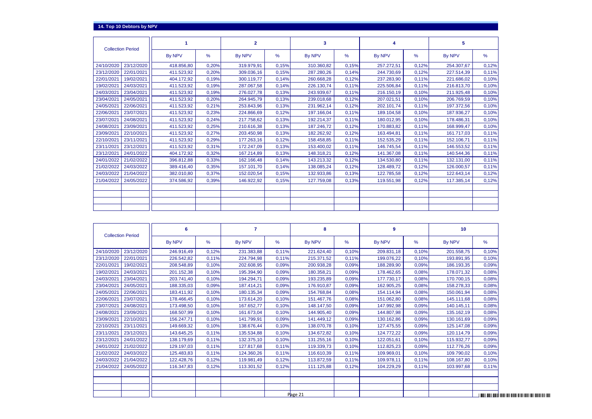| <b>Collection Period</b> |            |       | $\mathbf{2}$  |       | 3          |       |               |       | 5             |       |
|--------------------------|------------|-------|---------------|-------|------------|-------|---------------|-------|---------------|-------|
|                          | By NPV     | $\%$  | <b>By NPV</b> | %     | By NPV     | %     | <b>By NPV</b> | %     | <b>By NPV</b> | %     |
| 23/12/2020<br>24/10/2020 | 418.856,80 | 0,20% | 319.979,91    | 0.15% | 310.360,82 | 0.15% | 257.272,51    | 0.12% | 254.307,67    | 0,12% |
| 22/01/2021<br>23/12/2020 | 411.523,92 | 0,20% | 309.036,16    | 0.15% | 287.280,26 | 0.14% | 244.730,69    | 0,12% | 227.514,39    | 0,11% |
| 22/01/2021<br>19/02/2021 | 404.172,92 | 0.19% | 300.119,77    | 0.14% | 260.668.28 | 0.12% | 237.283.90    | 0.11% | 221.686,02    | 0,10% |
| 19/02/2021<br>24/03/2021 | 411.523,92 | 0.19% | 287.067.58    | 0.14% | 226.130.74 | 0.11% | 225.506.84    | 0.11% | 216.813,70    | 0,10% |
| 23/04/2021<br>24/03/2021 | 411.523,92 | 0.19% | 276.027.78    | 0.13% | 243.939.67 | 0.11% | 216.150.19    | 0.10% | 211.925,48    | 0,10% |
| 24/05/2021<br>23/04/2021 | 411.523,92 | 0,20% | 264.945,79    | 0,13% | 239.018,68 | 0,12% | 207.021,51    | 0,10% | 206.769,59    | 0,10% |
| 24/05/2021<br>22/06/2021 | 411.523,92 | 0.21% | 253.843,96    | 0.13% | 231.962,14 | 0,12% | 202.101,74    | 0.11% | 197.372,56    | 0,10% |
| 23/07/2021<br>22/06/2021 | 411.523,92 | 0,23% | 224.866,69    | 0,12% | 197.166,04 | 0.11% | 189.104,58    | 0.10% | 187.936,27    | 0,10% |
| 24/08/2021<br>23/07/2021 | 411.523,92 | 0.24% | 217.758,62    | 0.13% | 192.214,37 | 0.11% | 180.012,95    | 0.10% | 178.486,31    | 0,10% |
| 24/08/2021<br>23/09/2021 | 411.523,92 | 0,25% | 210.616,38    | 0,13% | 187.246,72 | 0.12% | 170.883,82    | 0.11% | 168.999,47    | 0,10% |
| 22/10/2021<br>23/09/2021 | 411.523,92 | 0.27% | 203.450.98    | 0.13% | 182.262,92 | 0.12% | 163.494.81    | 0.11% | 161.717,03    | 0,11% |
| 23/11/2021<br>22/10/2021 | 411.523,92 | 0,29% | 177.263,16    | 0,12% | 158.458,85 | 0,11% | 152.535,29    | 0,11% | 152.106,71    | 0,11% |
| 23/12/2021<br>23/11/2021 | 411.523,92 | 0.31% | 172.247.09    | 0.13% | 153.400,02 | 0.11% | 146.745,54    | 0.11% | 146.553,52    | 0,11% |
| 24/01/2022<br>23/12/2021 | 404.172,92 | 0.32% | 167.214.89    | 0.13% | 148.318.21 | 0.12% | 141.367.08    | 0.11% | 140.544,36    | 0.11% |
| 24/01/2022<br>21/02/2022 | 396.812,88 | 0,33% | 162.166,48    | 0,14% | 143.213,32 | 0,12% | 134.530,80    | 0,11% | 132.131,00    | 0,11% |
| 21/02/2022<br>24/03/2022 | 389.416,40 | 0,35% | 157.101,70    | 0.14% | 138.085.24 | 0.12% | 128.489.72    | 0.12% | 126.000,57    | 0,11% |
| 21/04/2022<br>24/03/2022 | 382.010,80 | 0,37% | 152.020,54    | 0.15% | 132.933.86 | 0.13% | 122.785.58    | 0,12% | 122.643,14    | 0,12% |
| 21/04/2022<br>24/05/2022 | 374.586,92 | 0.39% | 146.922,92    | 0,15% | 127.759,08 | 0.13% | 119.551.98    | 0.12% | 117.385,14    | 0,12% |
|                          |            |       |               |       |            |       |               |       |               |       |
|                          |            |       |               |       |            |       |               |       |               |       |
|                          |            |       |               |       |            |       |               |       |               |       |
|                          |            |       |               |       |            |       |               |       |               |       |

| <b>Collection Period</b> |            | 6          |       | 7          |       | 8          |       | 9          |       | 10         |                                                                     |
|--------------------------|------------|------------|-------|------------|-------|------------|-------|------------|-------|------------|---------------------------------------------------------------------|
|                          |            | By NPV     | $\%$  | By NPV     | %     | By NPV     | %     | By NPV     | %     | By NPV     | %                                                                   |
| 24/10/2020               | 23/12/2020 | 246.916,49 | 0,12% | 231.383,88 | 0,11% | 221.624,40 | 0,10% | 209.831,18 | 0,10% | 201.558,75 | 0,10%                                                               |
| 23/12/2020               | 22/01/2021 | 226.542,82 | 0.11% | 224.794,98 | 0.11% | 215.371,52 | 0.11% | 199.076,22 | 0,10% | 193.891,95 | 0,10%                                                               |
| 22/01/2021               | 19/02/2021 | 208.548,89 | 0,10% | 202.608,95 | 0.09% | 200.938,28 | 0.09% | 188.289,90 | 0,09% | 186.193,35 | 0,09%                                                               |
| 19/02/2021               | 24/03/2021 | 201.152,38 | 0,10% | 195.394,90 | 0,09% | 180.358,21 | 0.09% | 178.462,65 | 0,08% | 178.071,32 | 0,08%                                                               |
| 24/03/2021               | 23/04/2021 | 203.741,40 | 0,10% | 194.294,71 | 0,09% | 193.235,89 | 0,09% | 177.730,17 | 0,08% | 170.700,15 | 0,08%                                                               |
| 23/04/2021               | 24/05/2021 | 188.335,03 | 0,09% | 187.414,21 | 0,09% | 176.910,87 | 0,09% | 162.905,25 | 0,08% | 158.278,33 | 0,08%                                                               |
| 24/05/2021               | 22/06/2021 | 183.411,92 | 0,10% | 180.135,34 | 0,09% | 154.768,84 | 0,08% | 154.114,94 | 0,08% | 150.061,94 | 0,08%                                                               |
| 22/06/2021               | 23/07/2021 | 178.466,45 | 0,10% | 173.614,20 | 0,10% | 151.467,76 | 0,08% | 151.062,80 | 0,08% | 145.111.68 | 0,08%                                                               |
| 23/07/2021               | 24/08/2021 | 173.498,50 | 0.10% | 167.652,77 | 0,10% | 148.147,50 | 0,09% | 147.992,98 | 0,09% | 140.145,11 | 0,08%                                                               |
| 24/08/2021               | 23/09/2021 | 168.507,99 | 0,10% | 161.673,04 | 0.10% | 144.905,40 | 0,09% | 144.807,98 | 0,09% | 135.162,19 | 0,08%                                                               |
| 23/09/2021               | 22/10/2021 | 156.247,71 | 0,10% | 141.799,91 | 0,09% | 141.449,12 | 0.09% | 130.162,86 | 0,09% | 130.161,69 | 0,09%                                                               |
| 22/10/2021               | 23/11/2021 | 149.669,32 | 0.10% | 138.676,44 | 0,10% | 138.070,78 | 0,10% | 127.475,55 | 0,09% | 125.147,08 | 0,09%                                                               |
| 23/11/2021               | 23/12/2021 | 143.645,25 | 0.11% | 135.534,88 | 0.10% | 134.672,82 | 0,10% | 124.772,22 | 0,09% | 120.114,79 | 0,09%                                                               |
| 23/12/2021               | 24/01/2022 | 138.179,69 | 0.11% | 132.375,10 | 0,10% | 131.255,16 | 0,10% | 122.051,61 | 0,10% | 115.932,77 | 0,09%                                                               |
| 24/01/2022               | 21/02/2022 | 129.197,03 | 0,11% | 127.817,68 | 0.11% | 119.339,73 | 0,10% | 112.825,23 | 0,09% | 112.776,26 | 0,09%                                                               |
| 21/02/2022               | 24/03/2022 | 125.483,83 | 0.11% | 124.360,26 | 0,11% | 116.610,39 | 0.11% | 109.969,01 | 0,10% | 109.790,02 | 0,10%                                                               |
| 24/03/2022               | 21/04/2022 | 122.428,76 | 0,12% | 119.981,49 | 0,12% | 113.872,59 | 0,11% | 109.978,11 | 0.11% | 108.167,80 | 0,10%                                                               |
| 21/04/2022               | 24/05/2022 | 116.347,83 | 0,12% | 113.301,52 | 0,12% | 111.125,88 | 0,12% | 104.229,29 | 0.11% | 103.997,68 | 0,11%                                                               |
|                          |            |            |       |            |       |            |       |            |       |            |                                                                     |
|                          |            |            |       |            |       |            |       |            |       |            |                                                                     |
|                          |            |            |       |            |       |            |       |            |       |            |                                                                     |
|                          |            |            |       |            |       | Page 21    |       |            |       |            | וסטו וווה מוזור ווסור בוסור מוזור ומסורת ווסור מוזור לבנסת הנוסד. ב |